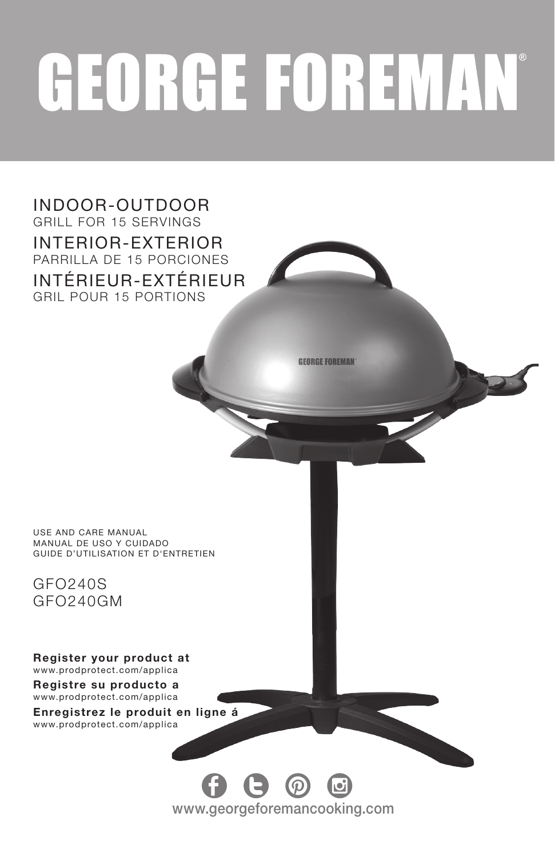# **GEORGE FOREMAN**

INDOOR-OUTDOOR GRILL FOR 15 SERVINGS INTERIOR-EXTERIOR PARRILLA DE 15 PORCIONES INTÉRIEUR-EXTÉRIEUR GRIL POUR 15 PORTIONS **GEORGE FOREMAN** USE AND CARE MANUAL MANUAL DE USO Y CUIDADO GUIDE D'UTILISATION ET D'ENTRETIEN GFO240S GFO240GM Register your product at www.prodprotect.com/applica Registre su producto a www.prodprotect.com/applica Enregistrez le produit en ligne á www.prodprotect.com/applica $\Theta$   $\omega$ www.georgeforemancooking.com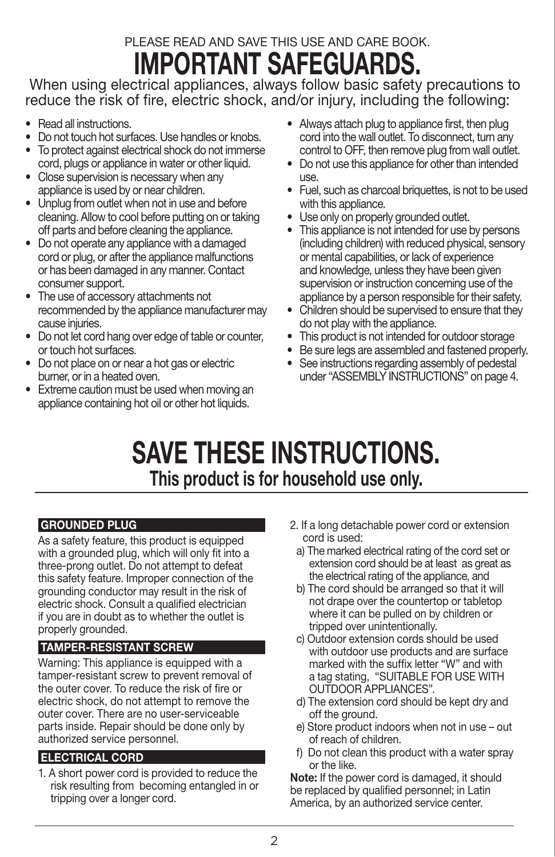# PLEASE READ AND SAVE THIS USE AND CARE BOOK. IMPORTANT SAFEGUARDS.

 When using electrical appliances, always follow basic safety precautions to reduce the risk of fire, electric shock, and/or injury, including the following:

- Read all instructions.
- Do not touch hot surfaces. Use handles or knobs.
- To protect against electrical shock do not immerse cord, plugs or appliance in water or other liquid.
- Close supervision is necessary when any appliance is used by or near children.
- Unplug from outlet when not in use and before cleaning. Allow to cool before putting on or taking off parts and before cleaning the appliance.
- Do not operate any appliance with a damaged cord or plug, or after the appliance malfunctions or has been damaged in any manner. Contact consumer support.
- The use of accessory attachments not recommended by the appliance manufacturer may cause injuries.
- Do not let cord hang over edge of table or counter, or touch hot surfaces.
- Do not place on or near a hot gas or electric burner, or in a heated oven.
- Extreme caution must be used when moving an appliance containing hot oil or other hot liquids.
- Always attach plug to appliance first, then plug cord into the wall outlet. To disconnect, turn any control to OFF, then remove plug from wall outlet.
- Do not use this appliance for other than intended use.
- Fuel, such as charcoal briquettes, is not to be used with this appliance.
- Use only on properly grounded outlet.
- This appliance is not intended for use by persons (including children) with reduced physical, sensory or mental capabilities, or lack of experience and knowledge, unless they have been given supervision or instruction concerning use of the appliance by a person responsible for their safety.
- Children should be supervised to ensure that they do not play with the appliance.
- This product is not intended for outdoor storage
- Be sure legs are assembled and fastened properly.
- See instructions regarding assembly of pedestal under "ASSEMBLY INSTRUCTIONS" on page 4.

# SAVE THESE INSTRUCTIONS. This product is for household use only.

#### GROUNDED PLUG

As a safety feature, this product is equipped with a grounded plug, which will only fit into a three-prong outlet. Do not attempt to defeat this safety feature. Improper connection of the grounding conductor may result in the risk of electric shock. Consult a qualified electrician if you are in doubt as to whether the outlet is properly grounded.

#### TAMPER-RESISTANT SCREW

Warning: This appliance is equipped with a tamper-resistant screw to prevent removal of the outer cover. To reduce the risk of fire or electric shock, do not attempt to remove the outer cover. There are no user-serviceable parts inside. Repair should be done only by authorized service personnel.

#### ELECTRICAL CORD

1. A short power cord is provided to reduce the risk resulting from becoming entangled in or tripping over a longer cord.

- 2. If a long detachable power cord or extension cord is used:
- a) The marked electrical rating of the cord set or extension cord should be at least as great as the electrical rating of the appliance, and
- b) The cord should be arranged so that it will not drape over the countertop or tabletop where it can be pulled on by children or tripped over unintentionally.
- c) Outdoor extension cords should be used with outdoor use products and are surface marked with the suffix letter "W" and with a tag stating, "SUITABLE FOR USE WITH OUTDOOR APPLIANCES".
- d) The extension cord should be kept dry and off the ground.
- e) Store product indoors when not in use out of reach of children.
- f) Do not clean this product with a water spray or the like.

Note: If the power cord is damaged, it should be replaced by qualified personnel; in Latin America, by an authorized service center.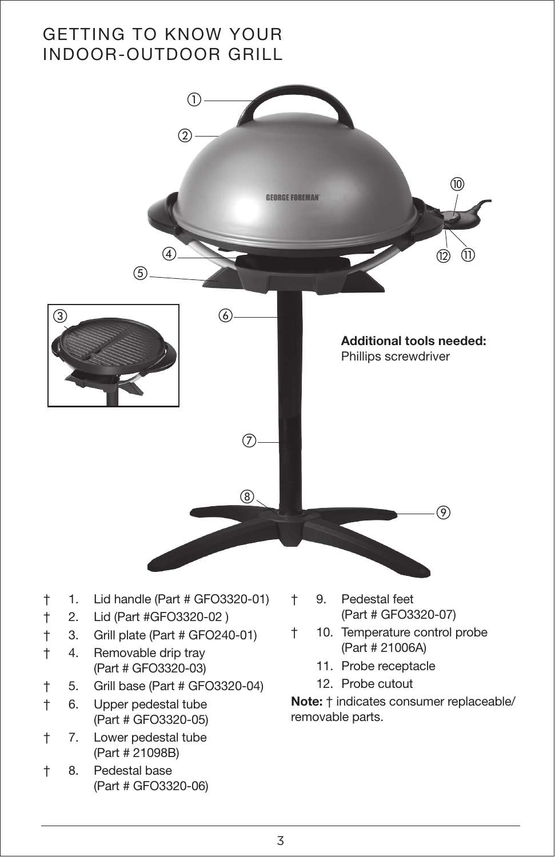# GETTING TO KNOW YOUR INDOOR-OUTDOOR GRILL

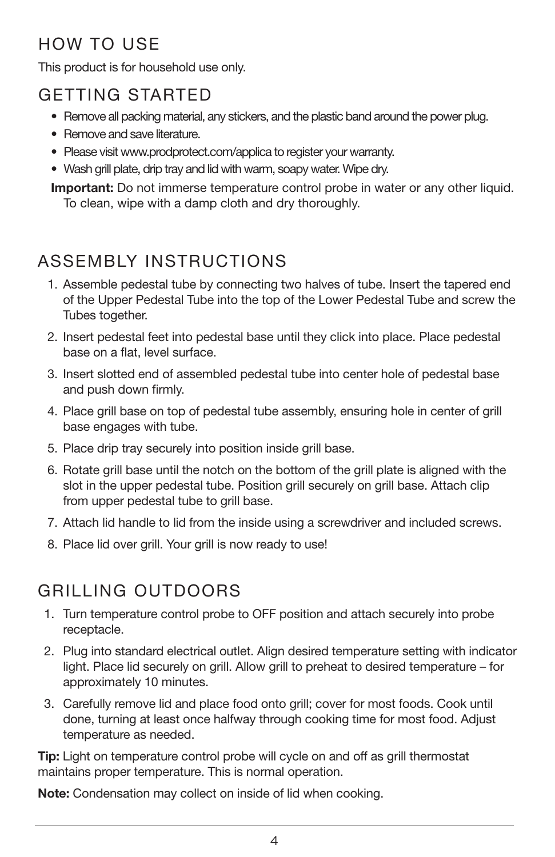# HOW TO USE

This product is for household use only.

# GETTING STARTED

- Remove all packing material, any stickers, and the plastic band around the power plug.
- Remove and save literature.
- Please visit www.prodprotect.com/applica to register your warranty.
- Wash grill plate, drip tray and lid with warm, soapy water. Wipe dry.

**Important:** Do not immerse temperature control probe in water or any other liquid. To clean, wipe with a damp cloth and dry thoroughly.

# ASSEMBLY INSTRUCTIONS

- 1. Assemble pedestal tube by connecting two halves of tube. Insert the tapered end of the Upper Pedestal Tube into the top of the Lower Pedestal Tube and screw the Tubes together.
- 2. Insert pedestal feet into pedestal base until they click into place. Place pedestal base on a flat, level surface.
- 3. Insert slotted end of assembled pedestal tube into center hole of pedestal base and push down firmly.
- 4. Place grill base on top of pedestal tube assembly, ensuring hole in center of grill base engages with tube.
- 5. Place drip tray securely into position inside grill base.
- 6. Rotate grill base until the notch on the bottom of the grill plate is aligned with the slot in the upper pedestal tube. Position grill securely on grill base. Attach clip from upper pedestal tube to grill base.
- 7. Attach lid handle to lid from the inside using a screwdriver and included screws.
- 8. Place lid over grill. Your grill is now ready to use!

# GRILLING OUTDOORS

- 1. Turn temperature control probe to OFF position and attach securely into probe receptacle.
- 2. Plug into standard electrical outlet. Align desired temperature setting with indicator light. Place lid securely on grill. Allow grill to preheat to desired temperature – for approximately 10 minutes.
- 3. Carefully remove lid and place food onto grill; cover for most foods. Cook until done, turning at least once halfway through cooking time for most food. Adjust temperature as needed.

Tip: Light on temperature control probe will cycle on and off as grill thermostat maintains proper temperature. This is normal operation.

Note: Condensation may collect on inside of lid when cooking.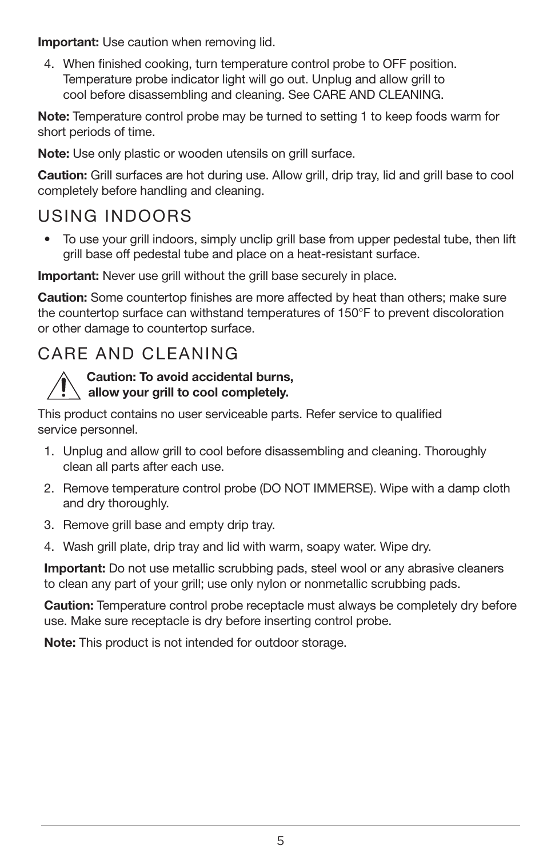**Important:** Use caution when removing lid.

4. When finished cooking, turn temperature control probe to OFF position. Temperature probe indicator light will go out. Unplug and allow grill to cool before disassembling and cleaning. See CARE AND CLEANING.

Note: Temperature control probe may be turned to setting 1 to keep foods warm for short periods of time.

Note: Use only plastic or wooden utensils on grill surface.

Caution: Grill surfaces are hot during use. Allow grill, drip tray, lid and grill base to cool completely before handling and cleaning.

# USING INDOORS

• To use your grill indoors, simply unclip grill base from upper pedestal tube, then lift grill base off pedestal tube and place on a heat-resistant surface.

Important: Never use grill without the grill base securely in place.

Caution: Some countertop finishes are more affected by heat than others; make sure the countertop surface can withstand temperatures of 150°F to prevent discoloration or other damage to countertop surface.

# CARE AND CLEANING

#### Caution: To avoid accidental burns, allow your grill to cool completely.

This product contains no user serviceable parts. Refer service to qualified service personnel.

- 1. Unplug and allow grill to cool before disassembling and cleaning. Thoroughly clean all parts after each use.
- 2. Remove temperature control probe (DO NOT IMMERSE). Wipe with a damp cloth and dry thoroughly.
- 3. Remove grill base and empty drip tray.
- 4. Wash grill plate, drip tray and lid with warm, soapy water. Wipe dry.

**Important:** Do not use metallic scrubbing pads, steel wool or any abrasive cleaners to clean any part of your grill; use only nylon or nonmetallic scrubbing pads.

Caution: Temperature control probe receptacle must always be completely dry before use. Make sure receptacle is dry before inserting control probe.

Note: This product is not intended for outdoor storage.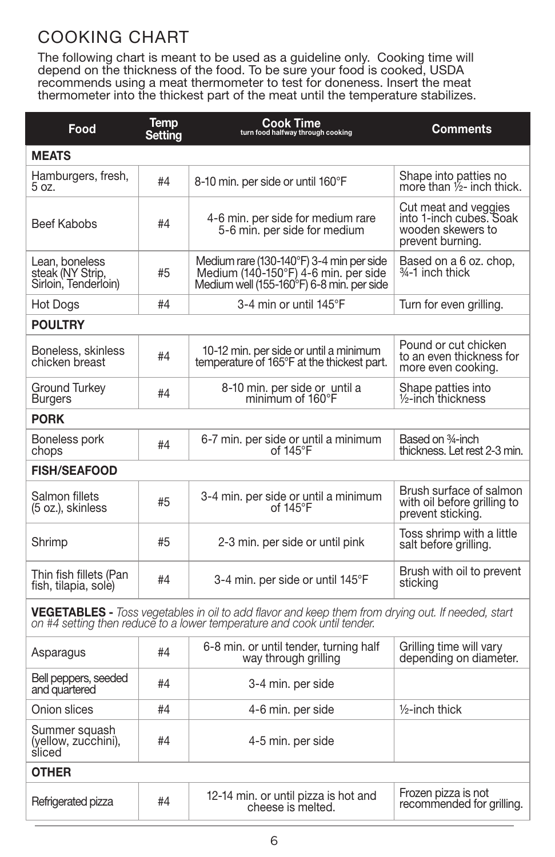# COOKING CHART

The following chart is meant to be used as a guideline only. Cooking time will depend on the thickness of the food. To be sure your food is cooked, USDA recommends using a meat thermometer to test for doneness. Insert the meat thermometer into the thickest part of the meat until the temperature stabilizes.

| Food                                                                                                                                                                                | Temp<br>Settina | <b>Cook Time</b><br>turn food halfway through cooking                                                                         | Comments                                                                                 |  |
|-------------------------------------------------------------------------------------------------------------------------------------------------------------------------------------|-----------------|-------------------------------------------------------------------------------------------------------------------------------|------------------------------------------------------------------------------------------|--|
| <b>MEATS</b>                                                                                                                                                                        |                 |                                                                                                                               |                                                                                          |  |
| Hamburgers, fresh,<br>5 oz.                                                                                                                                                         | #4              | 8-10 min. per side or until 160°F                                                                                             | Shape into patties no<br>more than 1/2- inch thick.                                      |  |
| Beef Kabobs                                                                                                                                                                         | #4              | 4-6 min. per side for medium rare<br>5-6 min. per side for medium                                                             | Cut meat and veggies<br>into 1-inch cubes. Soak<br>wooden skewers to<br>prevent burning. |  |
| Lean, boneless<br>steak (NY Strip,<br>Sirloin, Tenderloin)                                                                                                                          | #5              | Medium rare (130-140°F) 3-4 min per side<br>Medium (140-150°F) 4-6 min. per side<br>Medium well (155-160°F) 6-8 min. per side | Based on a 6 oz. chop,<br><sup>3⁄4-1</sup> inch thick                                    |  |
| Hot Dogs                                                                                                                                                                            | #4              | 3-4 min or until 145°F                                                                                                        | Turn for even grilling.                                                                  |  |
| <b>POULTRY</b>                                                                                                                                                                      |                 |                                                                                                                               |                                                                                          |  |
| Boneless, skinless<br>chicken breast                                                                                                                                                | #4              | 10-12 min. per side or until a minimum<br>temperature of 165°F at the thickest part.                                          | Pound or cut chicken<br>to an even thickness for<br>more even cooking.                   |  |
| Ground Turkey<br><b>Burgers</b>                                                                                                                                                     | #4              | 8-10 min. per side or until a<br>minimum of 160°F                                                                             | Shape patties into<br>1/2-inch thickness                                                 |  |
| <b>PORK</b>                                                                                                                                                                         |                 |                                                                                                                               |                                                                                          |  |
| Boneless pork<br>chops                                                                                                                                                              | #4              | 6-7 min. per side or until a minimum<br>of $145^{\circ}$ F                                                                    | Based on 34-inch<br>thickness. Let rest 2-3 min.                                         |  |
| <b>FISH/SEAFOOD</b>                                                                                                                                                                 |                 |                                                                                                                               |                                                                                          |  |
| Salmon fillets<br>(5 oz.), skinless                                                                                                                                                 | #5              | 3-4 min. per side or until a minimum<br>of $145^{\circ}$ F                                                                    | Brush surface of salmon<br>with oil before grilling to<br>prevent sticking.              |  |
| Shrimp                                                                                                                                                                              | #5              | 2-3 min. per side or until pink                                                                                               | Toss shrimp with a little<br>salt before grilling.                                       |  |
| Thin fish fillets (Pan<br>fish, tilapia, sole)                                                                                                                                      | #4              | 3-4 min. per side or until 145°F                                                                                              | Brush with oil to prevent<br>sticking                                                    |  |
| <b>VEGETABLES</b> - Toss vegetables in oil to add flavor and keep them from drying out. If needed, start<br>on #4 setting then reduce to a lower temperature and cook until tender. |                 |                                                                                                                               |                                                                                          |  |
| Asparagus                                                                                                                                                                           | #4              | 6-8 min. or until tender, turning half<br>way through grilling                                                                | Grilling time will vary<br>depending on diameter.                                        |  |
| Bell peppers, seeded<br>and quartered                                                                                                                                               | #4              | 3-4 min. per side                                                                                                             |                                                                                          |  |
| Onion slices                                                                                                                                                                        | #4              | 4-6 min. per side                                                                                                             | $1/2$ -inch thick                                                                        |  |
| Summer squash<br>(yellow, zucchini),<br>sliced                                                                                                                                      | #4              | 4-5 min. per side                                                                                                             |                                                                                          |  |
| <b>OTHER</b>                                                                                                                                                                        |                 |                                                                                                                               |                                                                                          |  |
| Refrigerated pizza                                                                                                                                                                  | #4              | 12-14 min. or until pizza is hot and<br>cheese is melted.                                                                     | Frozen pizza is not<br>recommended for grilling.                                         |  |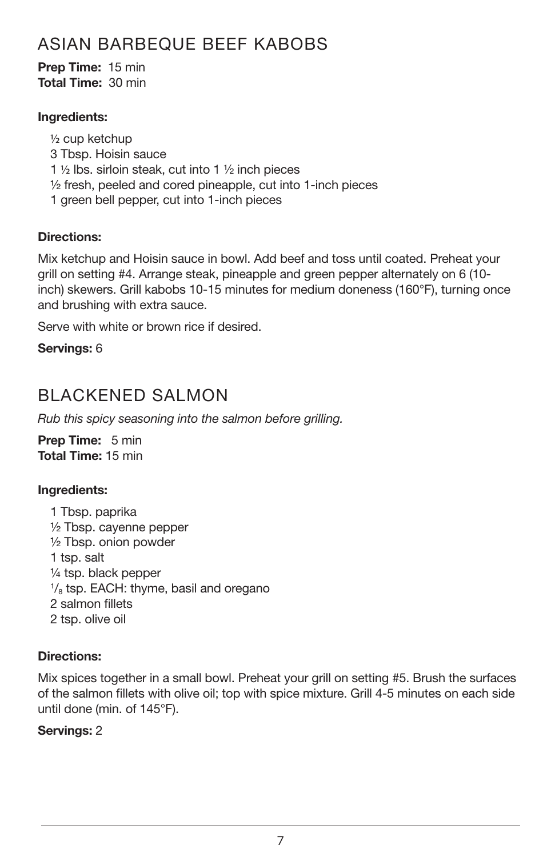# ASIAN BARBEQUE BEEF KABOBS

Prep Time: 15 min Total Time: 30 min

#### Ingredients:

½ cup ketchup 3 Tbsp. Hoisin sauce 1 ½ lbs. sirloin steak, cut into 1 ½ inch pieces ½ fresh, peeled and cored pineapple, cut into 1-inch pieces 1 green bell pepper, cut into 1-inch pieces

#### Directions:

Mix ketchup and Hoisin sauce in bowl. Add beef and toss until coated. Preheat your grill on setting #4. Arrange steak, pineapple and green pepper alternately on 6 (10 inch) skewers. Grill kabobs 10-15 minutes for medium doneness (160°F), turning once and brushing with extra sauce.

Serve with white or brown rice if desired.

Servings: 6

# BLACKENED SALMON

*Rub this spicy seasoning into the salmon before grilling.*

Prep Time: 5 min Total Time: 15 min

#### Ingredients:

1 Tbsp. paprika ½ Tbsp. cayenne pepper ½ Tbsp. onion powder 1 tsp. salt ¼ tsp. black pepper <sup>1</sup>/<sub>8</sub> tsp. EACH: thyme, basil and oregano 2 salmon fillets 2 tsp. olive oil

#### Directions:

Mix spices together in a small bowl. Preheat your grill on setting #5. Brush the surfaces of the salmon fillets with olive oil; top with spice mixture. Grill 4-5 minutes on each side until done (min. of 145°F).

#### Servings: 2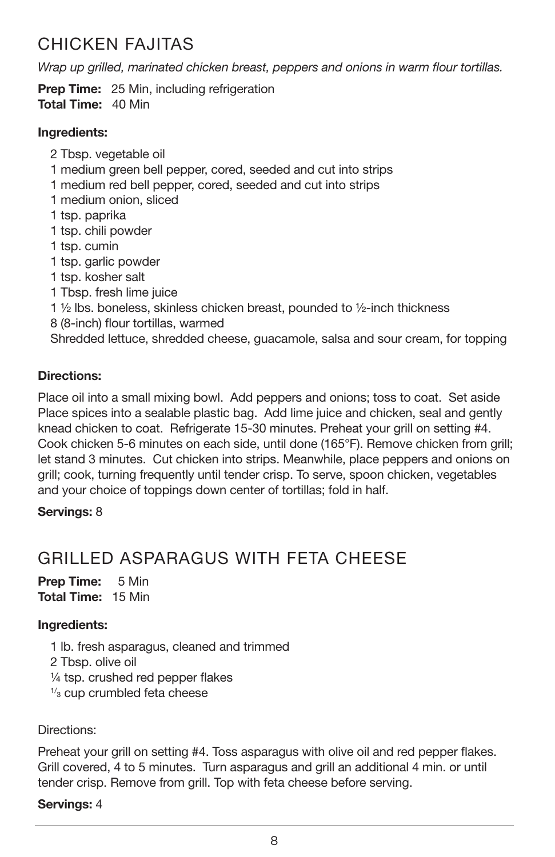# CHICKEN FAJITAS

*Wrap up grilled, marinated chicken breast, peppers and onions in warm flour tortillas.*

**Prep Time:** 25 Min, including refrigeration Total Time: 40 Min

#### Ingredients:

2 Tbsp. vegetable oil 1 medium green bell pepper, cored, seeded and cut into strips 1 medium red bell pepper, cored, seeded and cut into strips 1 medium onion, sliced 1 tsp. paprika 1 tsp. chili powder 1 tsp. cumin 1 tsp. garlic powder 1 tsp. kosher salt 1 Tbsp. fresh lime juice 1 ½ lbs. boneless, skinless chicken breast, pounded to ½-inch thickness 8 (8-inch) flour tortillas, warmed Shredded lettuce, shredded cheese, guacamole, salsa and sour cream, for topping

#### Directions:

Place oil into a small mixing bowl. Add peppers and onions; toss to coat. Set aside Place spices into a sealable plastic bag. Add lime juice and chicken, seal and gently knead chicken to coat. Refrigerate 15-30 minutes. Preheat your grill on setting #4. Cook chicken 5-6 minutes on each side, until done (165°F). Remove chicken from grill; let stand 3 minutes. Cut chicken into strips. Meanwhile, place peppers and onions on grill; cook, turning frequently until tender crisp. To serve, spoon chicken, vegetables and your choice of toppings down center of tortillas; fold in half.

#### Servings: 8

# GRILLED ASPARAGUS WITH FFTA CHEESE

Prep Time: 5 Min Total Time: 15 Min

#### Ingredients:

1 lb. fresh asparagus, cleaned and trimmed 2 Tbsp. olive oil ¼ tsp. crushed red pepper flakes  $1/3$  cup crumbled feta cheese

Directions:

Preheat your grill on setting #4. Toss asparagus with olive oil and red pepper flakes. Grill covered, 4 to 5 minutes. Turn asparagus and grill an additional 4 min. or until tender crisp. Remove from grill. Top with feta cheese before serving.

#### Servings: 4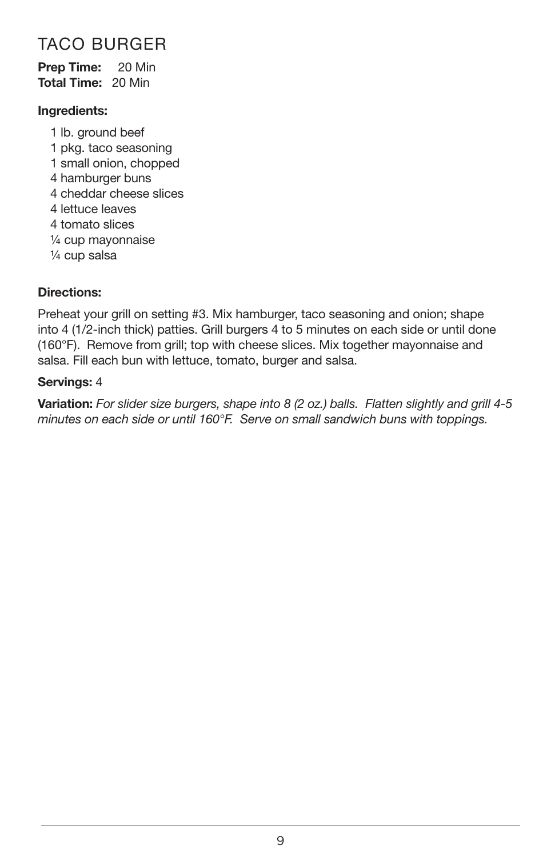# TACO BURGER

#### Prep Time: 20 Min Total Time: 20 Min

#### Ingredients:

1 lb. ground beef 1 pkg. taco seasoning 1 small onion, chopped 4 hamburger buns 4 cheddar cheese slices 4 lettuce leaves 4 tomato slices ¼ cup mayonnaise ¼ cup salsa

#### Directions:

Preheat your grill on setting #3. Mix hamburger, taco seasoning and onion; shape into 4 (1/2-inch thick) patties. Grill burgers 4 to 5 minutes on each side or until done (160°F). Remove from grill; top with cheese slices. Mix together mayonnaise and salsa. Fill each bun with lettuce, tomato, burger and salsa.

#### Servings: 4

Variation: *For slider size burgers, shape into 8 (2 oz.) balls. Flatten slightly and grill 4-5 minutes on each side or until 160°F. Serve on small sandwich buns with toppings.*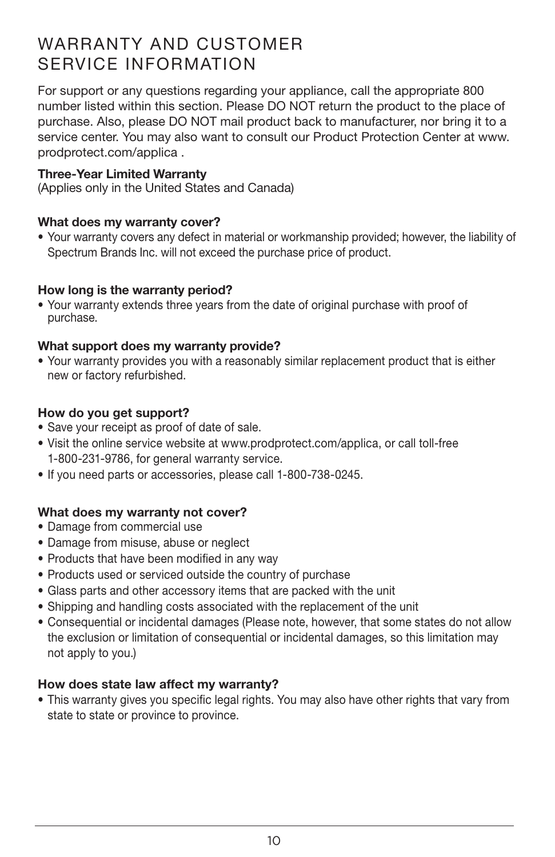# WARRANTY AND CUSTOMER SERVICE INFORMATION

For support or any questions regarding your appliance, call the appropriate 800 number listed within this section. Please DO NOT return the product to the place of purchase. Also, please DO NOT mail product back to manufacturer, nor bring it to a service center. You may also want to consult our Product Protection Center at www. prodprotect.com/applica .

#### Three-Year Limited Warranty

(Applies only in the United States and Canada)

#### What does my warranty cover?

• Your warranty covers any defect in material or workmanship provided; however, the liability of Spectrum Brands Inc. will not exceed the purchase price of product.

#### How long is the warranty period?

• Your warranty extends three years from the date of original purchase with proof of purchase.

#### What support does my warranty provide?

• Your warranty provides you with a reasonably similar replacement product that is either new or factory refurbished.

#### How do you get support?

- Save your receipt as proof of date of sale.
- Visit the online service website at www.prodprotect.com/applica, or call toll-free 1-800-231-9786, for general warranty service.
- If you need parts or accessories, please call 1-800-738-0245.

#### What does my warranty not cover?

- Damage from commercial use
- Damage from misuse, abuse or neglect
- Products that have been modified in any way
- Products used or serviced outside the country of purchase
- Glass parts and other accessory items that are packed with the unit
- Shipping and handling costs associated with the replacement of the unit
- Consequential or incidental damages (Please note, however, that some states do not allow the exclusion or limitation of consequential or incidental damages, so this limitation may not apply to you.)

#### How does state law affect my warranty?

• This warranty gives you specific legal rights. You may also have other rights that vary from state to state or province to province.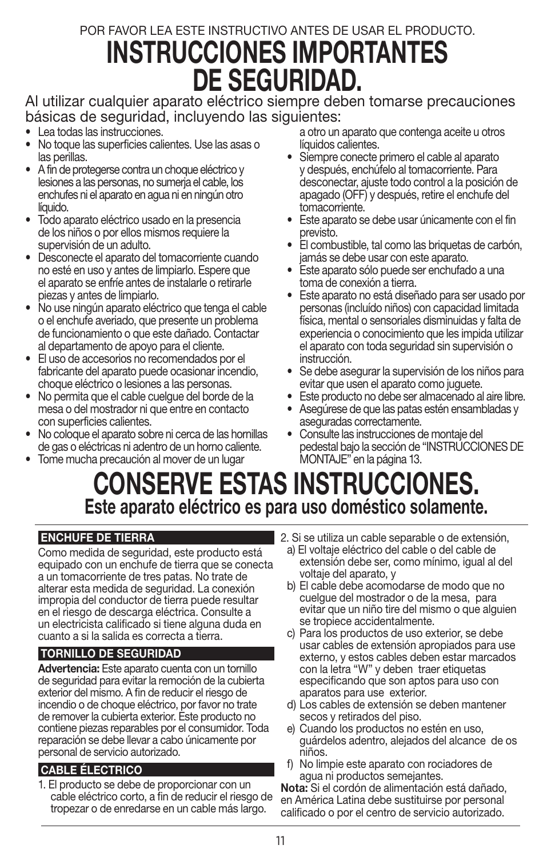# POR FAVOR LEA ESTE INSTRUCTIVO ANTES DE USAR EL PRODUCTO. INSTRUCCIONES IMPORTANTES DE SEGURIDAD.

Al utilizar cualquier aparato eléctrico siempre deben tomarse precauciones básicas de seguridad, incluyendo las siguientes:

- Lea todas las instrucciones.
- No toque las superficies calientes. Use las asas o las perillas.
- A fin de protegerse contra un choque eléctrico y lesiones a las personas, no sumerja el cable, los enchufes ni el aparato en agua ni en ningún otro líquido.
- Todo aparato eléctrico usado en la presencia de los niños o por ellos mismos requiere la supervisión de un adulto.
- Desconecte el aparato del tomacorriente cuando no esté en uso y antes de limpiarlo. Espere que el aparato se enfríe antes de instalarle o retirarle piezas y antes de limpiarlo.
- No use ningún aparato eléctrico que tenga el cable o el enchufe averiado, que presente un problema de funcionamiento o que este dañado. Contactar al departamento de apoyo para el cliente.
- El uso de accesorios no recomendados por el fabricante del aparato puede ocasionar incendio, choque eléctrico o lesiones a las personas.
- No permita que el cable cuelgue del borde de la mesa o del mostrador ni que entre en contacto con superficies calientes.
- No coloque el aparato sobre ni cerca de las hornillas de gas o eléctricas ni adentro de un horno caliente.
- Tome mucha precaución al mover de un lugar

a otro un aparato que contenga aceite u otros líquidos calientes.

- Siempre conecte primero el cable al aparato y después, enchúfelo al tomacorriente. Para desconectar, ajuste todo control a la posición de apagado (OFF) y después, retire el enchufe del tomacorriente.
- Este aparato se debe usar únicamente con el fin previsto.
- El combustible, tal como las briquetas de carbón, jamás se debe usar con este aparato.
- Este aparato sólo puede ser enchufado a una toma de conexión a tierra.
- Este aparato no está diseñado para ser usado por personas (incluído niños) con capacidad limitada física, mental o sensoriales disminuidas y falta de experiencia o conocimiento que les impida utilizar el aparato con toda seguridad sin supervisión o instrucción.
- Se debe asegurar la supervisión de los niños para evitar que usen el aparato como juguete.
- Este producto no debe ser almacenado al aire libre.
- Asegúrese de que las patas estén ensambladas y aseguradas correctamente.
- Consulte las instrucciones de montaje del pedestal bajo la sección de "INSTRUCCIONES DE MONTAJE" en la página 13.

# CONSERVE ESTAS INSTRUCCIONES. Este aparato eléctrico es para uso doméstico solamente.

#### ENCHUFE DE TIERRA

Como medida de seguridad, este producto está equipado con un enchufe de tierra que se conecta a un tomacorriente de tres patas. No trate de alterar esta medida de seguridad. La conexión impropia del conductor de tierra puede resultar en el riesgo de descarga eléctrica. Consulte a un electricista calificado si tiene alguna duda en cuanto a si la salida es correcta a tierra.

#### TORNILLO DE SEGURIDAD

Advertencia: Este aparato cuenta con un tornillo de seguridad para evitar la remoción de la cubierta exterior del mismo. A fin de reducir el riesgo de incendio o de choque eléctrico, por favor no trate de remover la cubierta exterior. Este producto no contiene piezas reparables por el consumidor. Toda reparación se debe llevar a cabo únicamente por personal de servicio autorizado.

#### CABLE ÉLECTRICO

1. El producto se debe de proporcionar con un cable eléctrico corto, a fin de reducir el riesgo de tropezar o de enredarse en un cable más largo.

- 2. Si se utiliza un cable separable o de extensión,
	- a) El voltaje eléctrico del cable o del cable de extensión debe ser, como mínimo, igual al del voltaje del aparato, y
	- b) El cable debe acomodarse de modo que no cuelgue del mostrador o de la mesa, para evitar que un niño tire del mismo o que alguien se tropiece accidentalmente.
	- c) Para los productos de uso exterior, se debe usar cables de extensión apropiados para use externo, y estos cables deben estar marcados con la letra "W" y deben traer etiquetas especificando que son aptos para uso con aparatos para use exterior.
	- d) Los cables de extensión se deben mantener secos y retirados del piso.
	- e) Cuando los productos no estén en uso, guárdelos adentro, alejados del alcance de os niños.
	- f) No limpie este aparato con rociadores de agua ni productos semejantes.

Nota: Si el cordón de alimentación está dañado, en América Latina debe sustituirse por personal calificado o por el centro de servicio autorizado.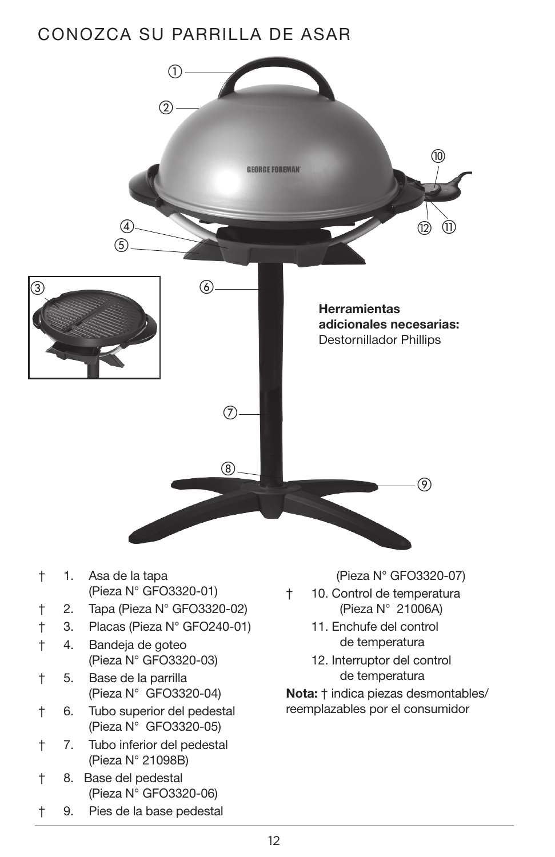# CONOZCA SU PARRILLA DE ASAR

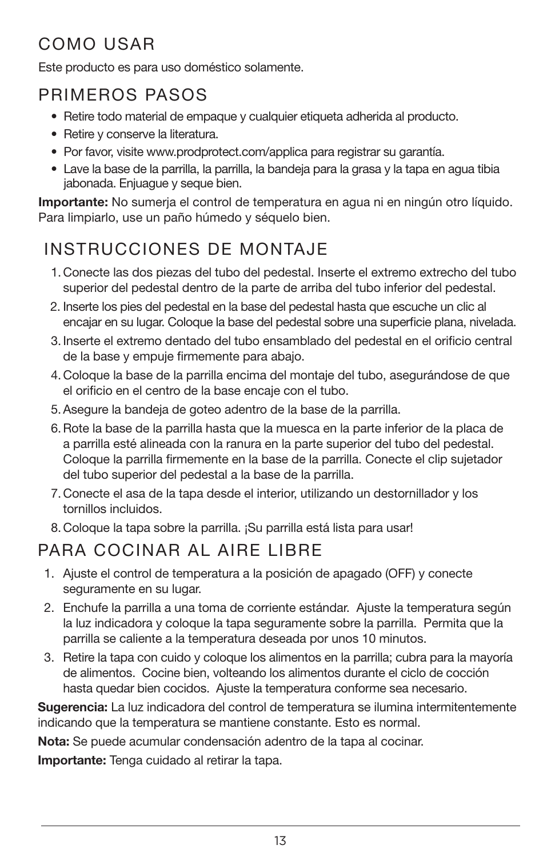# COMO USAR

Este producto es para uso doméstico solamente.

# PRIMEROS PASOS

- Retire todo material de empaque y cualquier etiqueta adherida al producto.
- Retire y conserve la literatura.
- Por favor, visite www.prodprotect.com/applica para registrar su garantía.
- Lave la base de la parrilla, la parrilla, la bandeja para la grasa y la tapa en agua tibia jabonada. Enjuague y seque bien.

Importante: No sumerja el control de temperatura en agua ni en ningún otro líquido. Para limpiarlo, use un paño húmedo y séquelo bien.

# INSTRUCCIONES DE MONTAJE

- 1.Conecte las dos piezas del tubo del pedestal. Inserte el extremo extrecho del tubo superior del pedestal dentro de la parte de arriba del tubo inferior del pedestal.
- 2. Inserte los pies del pedestal en la base del pedestal hasta que escuche un clic al encajar en su lugar. Coloque la base del pedestal sobre una superficie plana, nivelada.
- 3. Inserte el extremo dentado del tubo ensamblado del pedestal en el orificio central de la base y empuje firmemente para abajo.
- 4.Coloque la base de la parrilla encima del montaje del tubo, asegurándose de que el orificio en el centro de la base encaje con el tubo.
- 5.Asegure la bandeja de goteo adentro de la base de la parrilla.
- 6.Rote la base de la parrilla hasta que la muesca en la parte inferior de la placa de a parrilla esté alineada con la ranura en la parte superior del tubo del pedestal. Coloque la parrilla firmemente en la base de la parrilla. Conecte el clip sujetador del tubo superior del pedestal a la base de la parrilla.
- 7.Conecte el asa de la tapa desde el interior, utilizando un destornillador y los tornillos incluidos.
- 8.Coloque la tapa sobre la parrilla. ¡Su parrilla está lista para usar!

# PARA COCINAR AL AIRE LIBRE

- 1. Ajuste el control de temperatura a la posición de apagado (OFF) y conecte seguramente en su lugar.
- 2. Enchufe la parrilla a una toma de corriente estándar. Ajuste la temperatura según la luz indicadora y coloque la tapa seguramente sobre la parrilla. Permita que la parrilla se caliente a la temperatura deseada por unos 10 minutos.
- 3. Retire la tapa con cuido y coloque los alimentos en la parrilla; cubra para la mayoría de alimentos. Cocine bien, volteando los alimentos durante el ciclo de cocción hasta quedar bien cocidos. Ajuste la temperatura conforme sea necesario.

Sugerencia: La luz indicadora del control de temperatura se ilumina intermitentemente indicando que la temperatura se mantiene constante. Esto es normal.

Nota: Se puede acumular condensación adentro de la tapa al cocinar.

Importante: Tenga cuidado al retirar la tapa.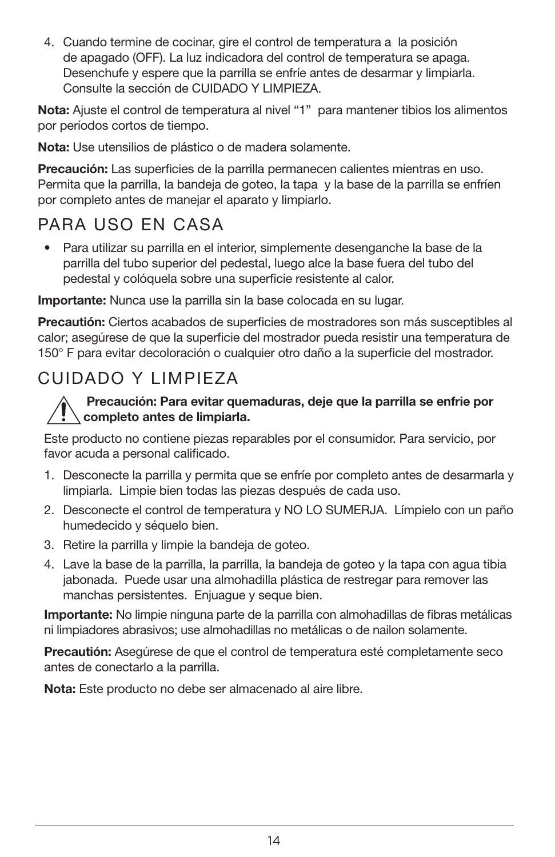4. Cuando termine de cocinar, gire el control de temperatura a la posición de apagado (OFF). La luz indicadora del control de temperatura se apaga. Desenchufe y espere que la parrilla se enfríe antes de desarmar y limpiarla. Consulte la sección de CUIDADO Y LIMPIEZA.

Nota: Ajuste el control de temperatura al nivel "1" para mantener tibios los alimentos por períodos cortos de tiempo.

Nota: Use utensilios de plástico o de madera solamente.

Precaución: Las superficies de la parrilla permanecen calientes mientras en uso. Permita que la parrilla, la bandeja de goteo, la tapa y la base de la parrilla se enfríen por completo antes de manejar el aparato y limpiarlo.

# PARA USO EN CASA

• Para utilizar su parrilla en el interior, simplemente desenganche la base de la parrilla del tubo superior del pedestal, luego alce la base fuera del tubo del pedestal y colóquela sobre una superficie resistente al calor.

Importante: Nunca use la parrilla sin la base colocada en su lugar.

Precautión: Ciertos acabados de superficies de mostradores son más susceptibles al calor; asegúrese de que la superficie del mostrador pueda resistir una temperatura de 150° F para evitar decoloración o cualquier otro daño a la superficie del mostrador.

# CUIDADO Y LIMPIEZA

#### Precaución: Para evitar quemaduras, deje que la parrilla se enfrie por completo antes de limpiarla.

Este producto no contiene piezas reparables por el consumidor. Para servicio, por favor acuda a personal calificado.

- 1. Desconecte la parrilla y permita que se enfríe por completo antes de desarmarla y limpiarla. Limpie bien todas las piezas después de cada uso.
- 2. Desconecte el control de temperatura y NO LO SUMERJA. Límpielo con un paño humedecido y séquelo bien.
- 3. Retire la parrilla y limpie la bandeja de goteo.
- 4. Lave la base de la parrilla, la parrilla, la bandeja de goteo y la tapa con agua tibia jabonada. Puede usar una almohadilla plástica de restregar para remover las manchas persistentes. Enjuague y seque bien.

Importante: No limpie ninguna parte de la parrilla con almohadillas de fibras metálicas ni limpiadores abrasivos; use almohadillas no metálicas o de nailon solamente.

Precautión: Asegúrese de que el control de temperatura esté completamente seco antes de conectarlo a la parrilla.

Nota: Este producto no debe ser almacenado al aire libre.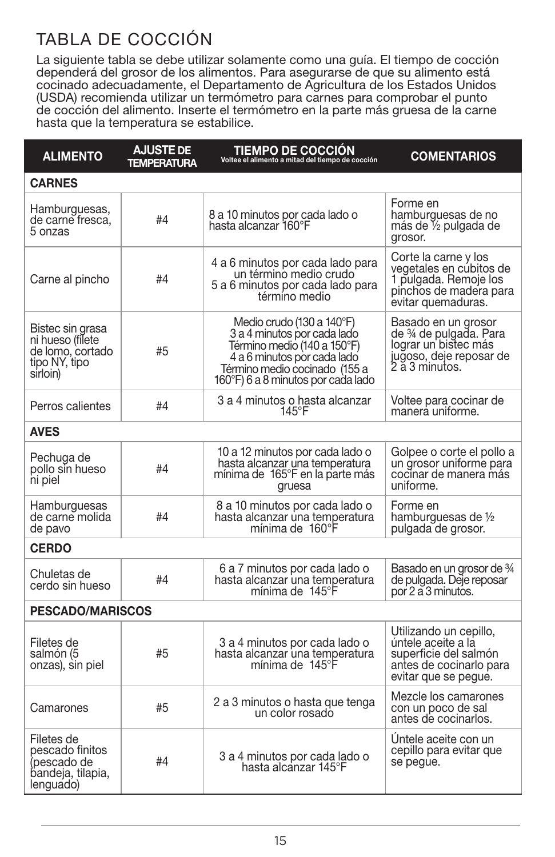# TABLA DE COCCIÓN

La siguiente tabla se debe utilizar solamente como una guía. El tiempo de cocción dependerá del grosor de los alimentos. Para asegurarse de que su alimento está cocinado adecuadamente, el Departamento de Agricultura de los Estados Unidos (USDA) recomienda utilizar un termómetro para carnes para comprobar el punto de cocción del alimento. Inserte el termómetro en la parte más gruesa de la carne hasta que la temperatura se estabilice.

| <b>ALIMENTO</b>                                                                       | <b>AJUSTE DE</b><br><b>TEMPERATURA</b> | <b>TIEMPO DE COCCIÓN</b><br>Voltee el alimento a mitad del tiempo de cocción                                                                                                                  | <b>COMENTARIOS</b>                                                                                                       |  |
|---------------------------------------------------------------------------------------|----------------------------------------|-----------------------------------------------------------------------------------------------------------------------------------------------------------------------------------------------|--------------------------------------------------------------------------------------------------------------------------|--|
| <b>CARNES</b>                                                                         |                                        |                                                                                                                                                                                               |                                                                                                                          |  |
| Hamburguesas,<br>de carne fresca.<br>5 onzas                                          | #4                                     | 8 a 10 minutos por cada lado o<br>hasta alcanzar 160°F                                                                                                                                        | Forme en<br>hamburguesas de no<br>más de 1⁄2 pulgada de<br>grosor.                                                       |  |
| Carne al pincho                                                                       | #4                                     | 4 a 6 minutos por cada lado para<br>un término medio crudo<br>5 a 6 minutos por cada lado para<br>término medio                                                                               | Corte la carne y los<br>vegetales en cúbitos de<br>1 pulgada. Remoje los<br>pinchos de madera para<br>evitar quemaduras. |  |
| Bistec sin grasa<br>ni hueso (filete<br>de lomo, cortado<br>tipo NY, tipo<br>sirloin) | #5                                     | Medio crudo (130 a 140°F)<br>3 a 4 minutos por cada lado<br>Término medio (140 a 150°F)<br>4 a 6 minutos por cada lado<br>Término medio cocinado (155 a<br>160°F) 6 a 8 minutos por cada lado | Basado en un grosor<br>de ¾ de pulgada. Para<br>lograr un bistec más<br>jugoso, deje reposar de<br>2 a 3 minutos.        |  |
| Perros calientes                                                                      | #4                                     | 3 a 4 minutos o hasta alcanzar<br>145°F                                                                                                                                                       | Voltee para cocinar de<br>manera uniforme.                                                                               |  |
| <b>AVES</b>                                                                           |                                        |                                                                                                                                                                                               |                                                                                                                          |  |
| Pechuga de<br>pollo sin hueso<br>ni piel                                              | #4                                     | 10 a 12 minutos por cada lado o<br>hasta alcanzar una temperatura<br>mínima de 165°F en la parte más<br>gruesa                                                                                | Golpee o corte el pollo a<br>un grosor uniforme para<br>cocinar de manera más<br>uniforme.                               |  |
| Hamburguesas<br>de carne molida<br>de pavo                                            | #4                                     | 8 a 10 minutos por cada lado o<br>hasta alcanzar una temperatura<br>mínima de 160°F                                                                                                           | Forme en<br>hamburguesas de 1/2<br>pulgada de grosor.                                                                    |  |
| <b>CERDO</b>                                                                          |                                        |                                                                                                                                                                                               |                                                                                                                          |  |
| Chuletas de<br>cerdo sin hueso                                                        | #4                                     | 6 a 7 minutos por cada lado o<br>hasta alcanzar una temperatura<br>mínima de 145°F                                                                                                            | Basado en un grosor de ¾<br>de pulgada. Deje reposar<br>por 2 a 3 minutos.                                               |  |
| <b>PESCADO/MARISCOS</b>                                                               |                                        |                                                                                                                                                                                               |                                                                                                                          |  |
| Filetes de<br>salmón (5<br>onzas), sin piel                                           | #5                                     | 3 a 4 minutos por cada lado o<br>hasta alcanzar una temperatura<br>mínima de 145°F                                                                                                            | Utilizando un cepillo,<br>úntele aceite a lá<br>superficie del salmón<br>antes de cocinarlo para<br>evitar que se peque. |  |
| Camarones                                                                             | #5                                     | 2 a 3 minutos o hasta que tenga<br>un color rosado                                                                                                                                            | Mezcle los camarones<br>con un poco de sal<br>antes de cocinarlos.                                                       |  |
| Filetes de<br>pescado finitos<br>(pescado de<br>bandeja, tilapia,<br>lenguado)        | #4                                     | 3 a 4 minutos por cada lado o hasta alcanzar 145°F                                                                                                                                            | Untele aceite con un<br>cepillo para evitar que<br>se pegue.                                                             |  |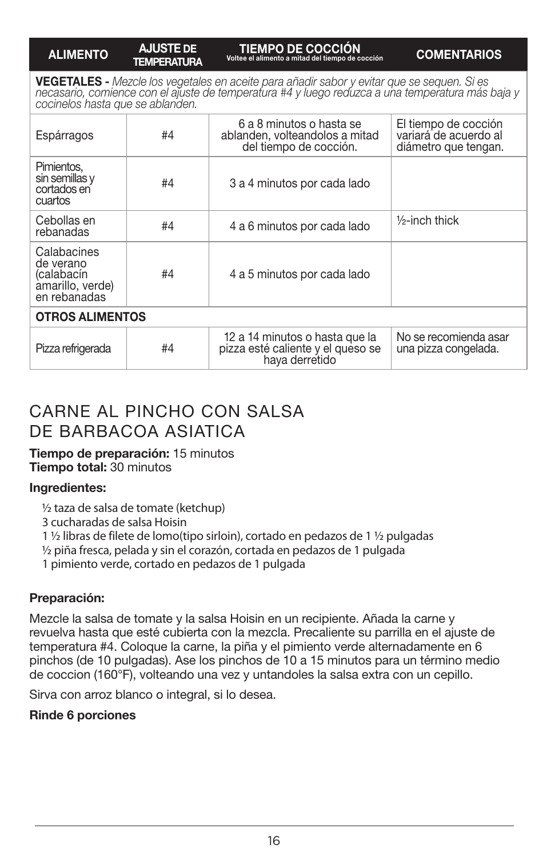#### ALIMENTO AJUSTE DE **TEMPERATURA**

TIEMPO DE COCCIÓN Voltee el alimento a mitad del tiempo de cocción COMENTARIOS

**VEGETALES -** Mezcle los vegetales en aceite para añadir sabor y evitar que se sequen. Si es<br>necasario, comience con el ajuste de temperatura #4 y luego reduzca a una temperatura más baja y *cocinelos hasta que se ablanden.*

| <b>OTROS ALIMENTOS</b><br>Pizza refrigerada                                | #4 | 12 a 14 minutos o hasta que la<br>pizza esté caliente y el queso se<br>haya derretido | No se recomienda asar<br>una pizza congelada.                         |
|----------------------------------------------------------------------------|----|---------------------------------------------------------------------------------------|-----------------------------------------------------------------------|
|                                                                            |    |                                                                                       |                                                                       |
| Calabacines<br>de verano<br>(calabacín<br>àmarillo, verde)<br>en rebanadas | #4 | 4 a 5 minutos por cada lado                                                           |                                                                       |
| Cebollas en<br>rebanadas                                                   | #4 | 4 a 6 minutos por cada lado                                                           | $\frac{1}{2}$ -inch thick                                             |
| Pimientos.<br>sin semillas y<br>cortados en<br>cuartos                     | #4 | 3 a 4 minutos por cada lado                                                           |                                                                       |
| Espárragos                                                                 | #4 | 6 a 8 minutos o hasta se<br>ablanden, volteandolos a mitad<br>del tiempo de cocción.  | El tiempo de cocción<br>variará de acuerdo al<br>diámetro que tengan. |

# CARNE AL PINCHO CON SALSA DE BARBACOA ASIATICA

Tiempo de preparación: 15 minutos Tiempo total: 30 minutos

#### Ingredientes:

½ taza de salsa de tomate (ketchup)

3 cucharadas de salsa Hoisin

1 ½ libras de filete de lomo(tipo sirloin), cortado en pedazos de 1 ½ pulgadas

½ piña fresca, pelada y sin el corazón, cortada en pedazos de 1 pulgada

1 pimiento verde, cortado en pedazos de 1 pulgada

#### Preparación:

Mezcle la salsa de tomate y la salsa Hoisin en un recipiente. Añada la carne y revuelva hasta que esté cubierta con la mezcla. Precaliente su parrilla en el ajuste de temperatura #4. Coloque la carne, la piña y el pimiento verde alternadamente en 6 pinchos (de 10 pulgadas). Ase los pinchos de 10 a 15 minutos para un término medio de coccion (160°F), volteando una vez y untandoles la salsa extra con un cepillo.

Sirva con arroz blanco o integral, si lo desea.

#### Rinde 6 porciones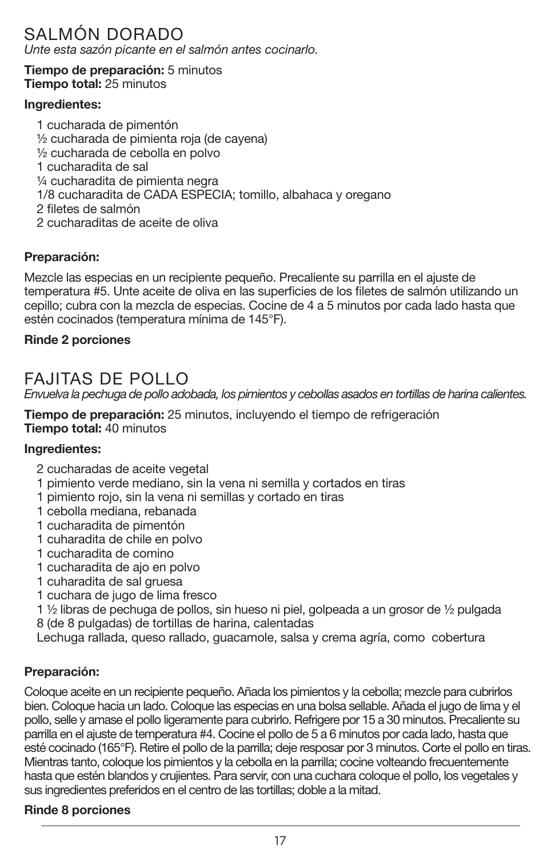# SALMÓN DORADO

*Unte esta sazón picante en el salmón antes cocinarlo.*

Tiempo de preparación: 5 minutos Tiempo total: 25 minutos

#### Ingredientes:

1 cucharada de pimentón ½ cucharada de pimienta roja (de cayena) ½ cucharada de cebolla en polvo 1 cucharadita de sal ¼ cucharadita de pimienta negra 1/8 cucharadita de CADA ESPECIA; tomillo, albahaca y oregano 2 filetes de salmón 2 cucharaditas de aceite de oliva

#### Preparación:

Mezcle las especias en un recipiente pequeño. Precaliente su parrilla en el ajuste de temperatura #5. Unte aceite de oliva en las superficies de los filetes de salmón utilizando un cepillo; cubra con la mezcla de especias. Cocine de 4 a 5 minutos por cada lado hasta que estén cocinados (temperatura mínima de 145°F).

#### Rinde 2 porciones

### FAJITAS DE POLLO

*Envuelva la pechuga de pollo adobada, los pimientos y cebollas asados en tortillas de harina calientes.*

Tiempo de preparación: 25 minutos, incluyendo el tiempo de refrigeración Tiempo total: 40 minutos

#### Ingredientes:

- 2 cucharadas de aceite vegetal
- 1 pimiento verde mediano, sin la vena ni semilla y cortados en tiras
- 1 pimiento rojo, sin la vena ni semillas y cortado en tiras
- 1 cebolla mediana, rebanada
- 1 cucharadita de pimentón
- 1 cuharadita de chile en polvo
- 1 cucharadita de comino
- 1 cucharadita de ajo en polvo
- 1 cuharadita de sal gruesa
- 1 cuchara de jugo de lima fresco

1 ½ libras de pechuga de pollos, sin hueso ni piel, golpeada a un grosor de ½ pulgada 8 (de 8 pulgadas) de tortillas de harina, calentadas

Lechuga rallada, queso rallado, guacamole, salsa y crema agría, como cobertura

#### Preparación:

Coloque aceite en un recipiente pequeño. Añada los pimientos y la cebolla; mezcle para cubrirlos bien. Coloque hacia un lado. Coloque las especias en una bolsa sellable. Añada el jugo de lima y el pollo, selle y amase el pollo ligeramente para cubrirlo. Refrigere por 15 a 30 minutos. Precaliente su parrilla en el ajuste de temperatura #4. Cocine el pollo de 5 a 6 minutos por cada lado, hasta que esté cocinado (165°F). Retire el pollo de la parrilla; deje resposar por 3 minutos. Corte el pollo en tiras. Mientras tanto, coloque los pimientos y la cebolla en la parrilla; cocine volteando frecuentemente hasta que estén blandos y crujientes. Para servir, con una cuchara coloque el pollo, los vegetales y sus ingredientes preferidos en el centro de las tortillas; doble a la mitad.

#### Rinde 8 porciones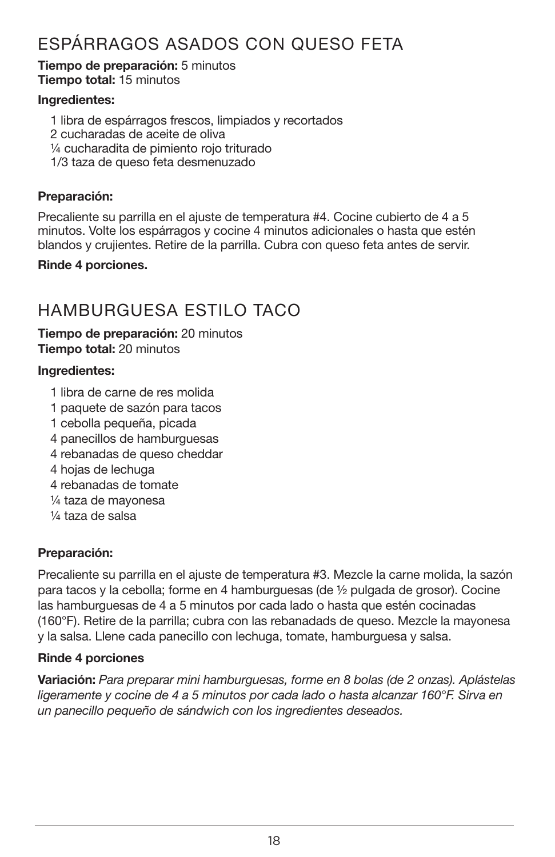# ESPÁRRAGOS ASADOS CON QUESO FETA

Tiempo de preparación: 5 minutos Tiempo total: 15 minutos

#### Ingredientes:

- 1 libra de espárragos frescos, limpiados y recortados
- 2 cucharadas de aceite de oliva
- ¼ cucharadita de pimiento rojo triturado
- 1/3 taza de queso feta desmenuzado

#### Preparación:

Precaliente su parrilla en el ajuste de temperatura #4. Cocine cubierto de 4 a 5 minutos. Volte los espárragos y cocine 4 minutos adicionales o hasta que estén blandos y crujientes. Retire de la parrilla. Cubra con queso feta antes de servir.

#### Rinde 4 porciones.

# HAMBURGUESA ESTILO TACO

#### Tiempo de preparación: 20 minutos Tiempo total: 20 minutos

#### Ingredientes:

- 1 libra de carne de res molida
- 1 paquete de sazón para tacos
- 1 cebolla pequeña, picada
- 4 panecillos de hamburguesas
- 4 rebanadas de queso cheddar
- 4 hojas de lechuga
- 4 rebanadas de tomate
- ¼ taza de mayonesa
- ¼ taza de salsa

#### Preparación:

Precaliente su parrilla en el ajuste de temperatura #3. Mezcle la carne molida, la sazón para tacos y la cebolla; forme en 4 hamburguesas (de ½ pulgada de grosor). Cocine las hamburguesas de 4 a 5 minutos por cada lado o hasta que estén cocinadas (160°F). Retire de la parrilla; cubra con las rebanadads de queso. Mezcle la mayonesa y la salsa. Llene cada panecillo con lechuga, tomate, hamburguesa y salsa.

#### Rinde 4 porciones

Variación: *Para preparar mini hamburguesas, forme en 8 bolas (de 2 onzas). Aplástelas ligeramente y cocine de 4 a 5 minutos por cada lado o hasta alcanzar 160°F. Sirva en un panecillo pequeño de sándwich con los ingredientes deseados.*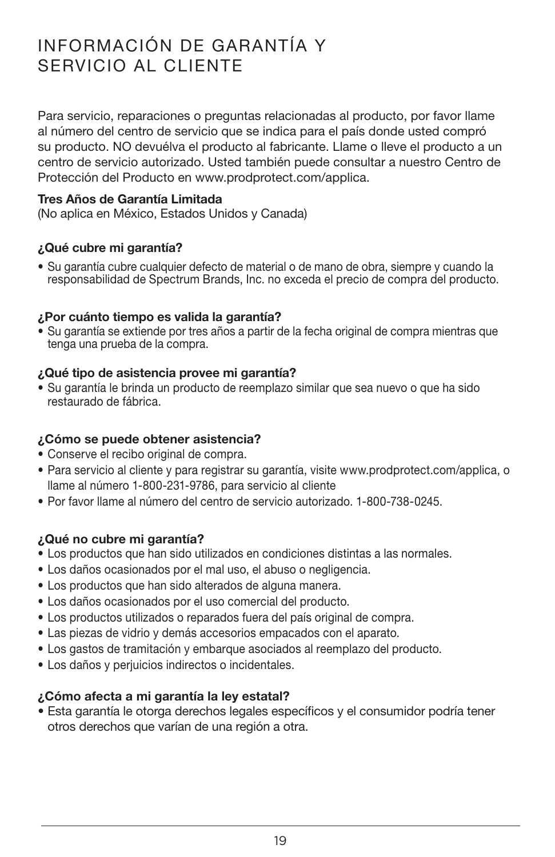# INFORMACIÓN DE GARANTÍA Y SERVICIO AL CLIENTE

Para servicio, reparaciones o preguntas relacionadas al producto, por favor llame al número del centro de servicio que se indica para el país donde usted compró su producto. NO devuélva el producto al fabricante. Llame o lleve el producto a un centro de servicio autorizado. Usted también puede consultar a nuestro Centro de Protección del Producto en www.prodprotect.com/applica.

#### Tres Años de Garantía Limitada

(No aplica en México, Estados Unidos y Canada)

#### ¿Qué cubre mi garantía?

• Su garantía cubre cualquier defecto de material o de mano de obra, siempre y cuando la responsabilidad de Spectrum Brands, Inc. no exceda el precio de compra del producto.

#### ¿Por cuánto tiempo es valida la garantía?

• Su garantía se extiende por tres años a partir de la fecha original de compra mientras que tenga una prueba de la compra.

#### ¿Qué tipo de asistencia provee mi garantía?

• Su garantía le brinda un producto de reemplazo similar que sea nuevo o que ha sido restaurado de fábrica.

#### ¿Cómo se puede obtener asistencia?

- Conserve el recibo original de compra.
- Para servicio al cliente y para registrar su garantía, visite www.prodprotect.com/applica, o llame al número 1-800-231-9786, para servicio al cliente
- Por favor llame al número del centro de servicio autorizado. 1-800-738-0245.

#### ¿Qué no cubre mi garantía?

- Los productos que han sido utilizados en condiciones distintas a las normales.
- Los daños ocasionados por el mal uso, el abuso o negligencia.
- Los productos que han sido alterados de alguna manera.
- Los daños ocasionados por el uso comercial del producto.
- Los productos utilizados o reparados fuera del país original de compra.
- Las piezas de vidrio y demás accesorios empacados con el aparato.
- Los gastos de tramitación y embarque asociados al reemplazo del producto.
- Los daños y perjuicios indirectos o incidentales.

#### ¿Cómo afecta a mi garantía la ley estatal?

• Esta garantía le otorga derechos legales específicos y el consumidor podría tener otros derechos que varían de una región a otra.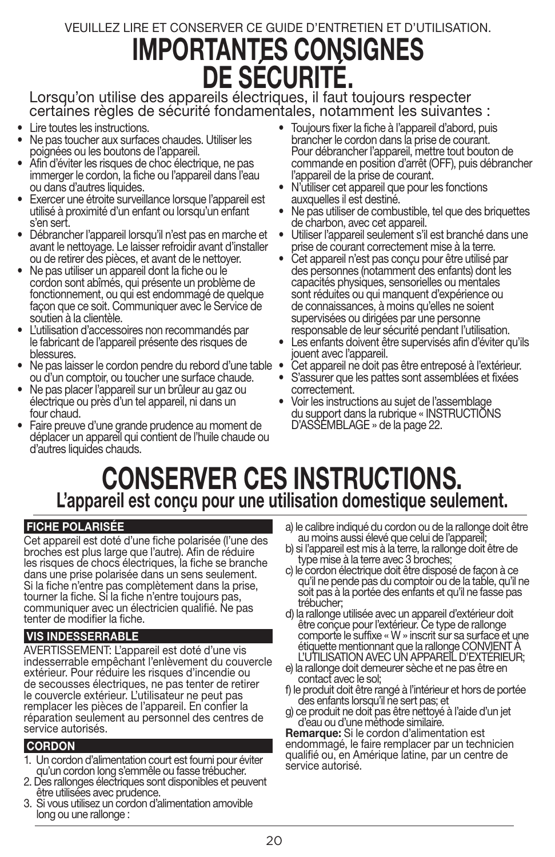# VEUILLEZ LIRE ET CONSERVER CE GUIDE D'ENTRETIEN ET D'UTILISATION. IMPORTANTES CONSIGNES DE SÉCURITÉ.

Lorsqu'on utilise des appareils électriques, il faut toujours respecter certaines règles de sécurité fondamentales, notamment les suivantes :

- Lire toutes les instructions.
- Ne pas toucher aux surfaces chaudes. Utiliser les poignées ou les boutons de l'appareil.
- Afin d'éviter les risques de choc électrique, ne pas immerger le cordon, la fiche ou l'appareil dans l'eau ou dans d'autres liquides.
- Exercer une étroite surveillance lorsque l'appareil est utilisé à proximité d'un enfant ou lorsqu'un enfant s'en sert.
- Débrancher l'appareil lorsqu'il n'est pas en marche et avant le nettoyage. Le laisser refroidir avant d'installer ou de retirer des pièces, et avant de le nettoyer.
- Ne pas utiliser un appareil dont la fiche ou le cordon sont abîmés, qui présente un problème de fonctionnement, ou qui est endommagé de quelque façon que ce soit. Communiquer avec le Service de
- L'utilisation d'accessoires non recommandés par le fabricant de l'appareil présente des risques de blessures.
- Ne pas laisser le cordon pendre du rebord d'une table ou d'un comptoir, ou toucher une surface chaude.
- Ne pas placer l'appareil sur un brûleur au gaz ou électrique ou près d'un tel appareil, ni dans un four chaud.
- Faire preuve d'une grande prudence au moment de déplacer un appareil qui contient de l'huile chaude ou d'autres liquides chauds.
- Toujours fixer la fiche à l'appareil d'abord, puis brancher le cordon dans la prise de courant. Pour débrancher l'appareil, mettre tout bouton de commande en position d'arrêt (OFF), puis débrancher l'appareil de la prise de courant.
- N'utiliser cet appareil que pour les fonctions auxquelles il est destiné.
- Ne pas utiliser de combustible, tel que des briquettes de charbon, avec cet appareil.
- Utiliser l'appareil seulement s'il est branché dans une prise de courant correctement mise à la terre.
- Cet appareil n'est pas conçu pour être utilisé par des personnes (notamment des enfants) dont les capacités physiques, sensorielles ou mentales sont réduites ou qui manquent d'expérience ou de connaissances, à moins qu'elles ne soient supervisées ou dirigées par une personne responsable de leur sécurité pendant l'utilisation.
- Les enfants doivent être supervisés afin d'éviter qu'ils iouent avec l'appareil.
- Cet appareil ne doit pas être entreposé à l'extérieur.
- S'assurer que les pattes sont assemblées et fixées correctement.
- Voir les instructions au sujet de l'assemblage du support dans la rubrique « INSTRUCTIONS D'ASSEMBLAGE » de la page 22.

# CONSERVER CES INSTRUCTIONS. L'appareil est conçu pour une utilisation domestique seulement.

#### FICHE POLARISÉE

Cet appareil est doté d'une fiche polarisée (l'une des broches est plus large que l'autre). Afin de réduire les risques de chocs électriques, la fiche se branche dans une prise polarisée dans un sens seulement. Si la fiche n'entre pas complètement dans la prise, tourner la fiche. Si la fiche n'entre toujours pas, communiquer avec un électricien qualifié. Ne pas tenter de modifier la fiche.

#### VIS INDESSERRABLE

AVERTISSEMENT: L'appareil est doté d'une vis indesserrable empêchant l'enlèvement du couvercle extérieur. Pour réduire les risques d'incendie ou de secousses électriques, ne pas tenter de retirer le couvercle extérieur. L'utilisateur ne peut pas remplacer les pièces de l'appareil. En confier la réparation seulement au personnel des centres de service autorisés.

#### **CORDON**

- 1. Un cordon d'alimentation court est fourni pour éviter qu'un cordon long s'emmêle ou fasse trébucher.
- 2. Des rallonges électriques sont disponibles et peuvent être utilisées avec prudence.
- 3. Si vous utilisez un cordon d'alimentation amovible long ou une rallonge :
- a) le calibre indiqué du cordon ou de la rallonge doit être au moins aussi élevé que celui de l'appareil;
- b) si l'appareil est mis à la terre, la rallonge doit être de<br>type mise à la terre avec 3 broches;<br>c) le cordon électrique doit être disposé de façon à ce
- qu'il ne pende pas du comptoir ou de la table, qu'il ne soit pas à la portée des enfants et qu'il ne fasse pas trébucher;<br>d) la rallonge utilisée avec un appareil d'extérieur doit
- être conçue pour l'extérieur. Ce type de rallonge comporte le suffixe « W » inscrit sur sa surface et une étiquette mentionnant que la rallonge CONVIENT À L'UTILISATION AVEC UN APPAREIL D'EXTÉRIEUR;
- e) la rallonge doit demeurer sèche et ne pas être en contact avec le sol;
- f) le produit doit être rangé à l'intérieur et hors de portée des enfants lorsqu'il ne sert pas; et
- g) ce produit ne doit pas être nettoyé à l'aide d'un jet d'eau ou d'une méthode similaire.

Remarque: Si le cordon d'alimentation est endommagé, le faire remplacer par un technicien qualifié ou, en Amérique latine, par un centre de service autorisé.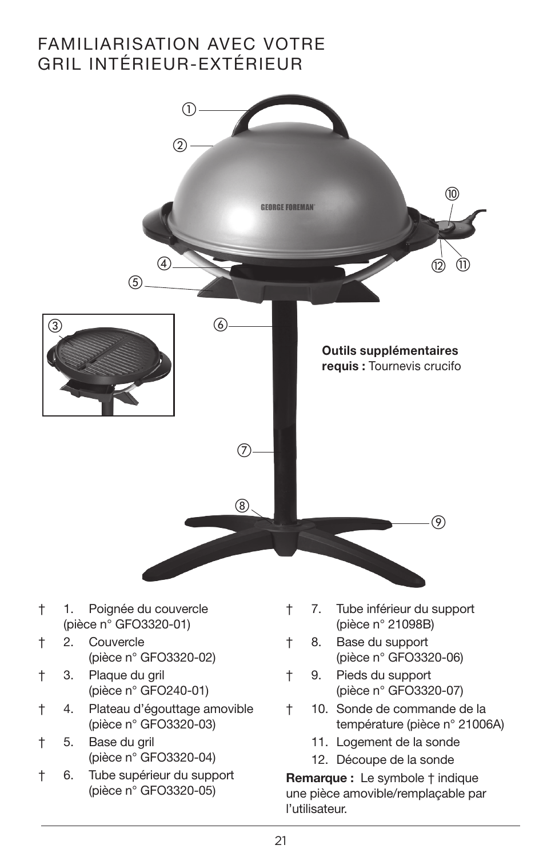# FAMILIARISATION AVEC VOTRE GRIL INTÉRIEUR-EXTÉRIEUR

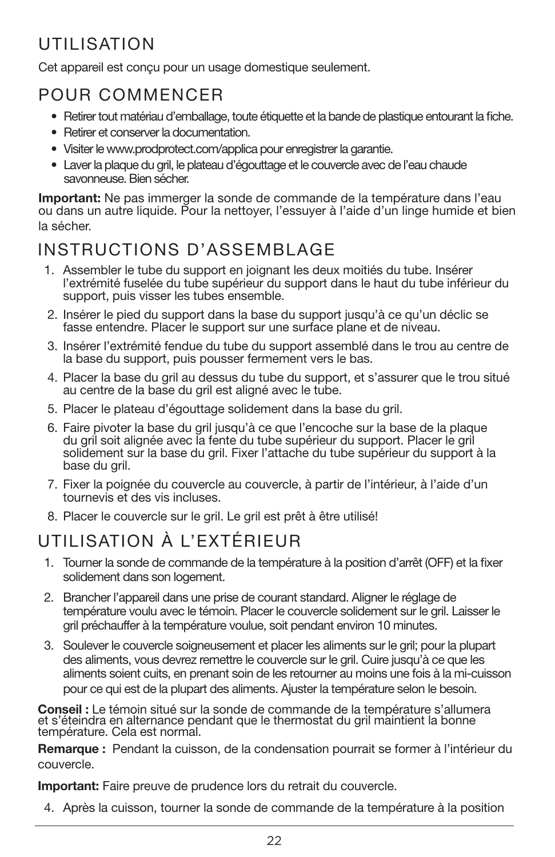# UTILISATION

Cet appareil est conçu pour un usage domestique seulement.

# POUR COMMENCER

- Retirer tout matériau d'emballage, toute étiquette et la bande de plastique entourant la fiche.
- Retirer et conserver la documentation.
- Visiter le www.prodprotect.com/applica pour enregistrer la garantie.
- Laver la plaque du gril, le plateau d'égouttage et le couvercle avec de l'eau chaude savonneuse. Bien sécher.

Important: Ne pas immerger la sonde de commande de la température dans l'eau ou dans un autre liquide. Pour la nettoyer, l'essuyer à l'aide d'un linge humide et bien la sécher.

# INSTRUCTIONS D'ASSEMBLAGE

- 1. Assembler le tube du support en joignant les deux moitiés du tube. Insérer l'extrémité fuselée du tube supérieur du support dans le haut du tube inférieur du support, puis visser les tubes ensemble.
- 2. Insérer le pied du support dans la base du support jusqu'à ce qu'un déclic se fasse entendre. Placer le support sur une surface plane et de niveau.
- 3. Insérer l'extrémité fendue du tube du support assemblé dans le trou au centre de la base du support, puis pousser fermement vers le bas.
- 4. Placer la base du gril au dessus du tube du support, et s'assurer que le trou situé au centre de la base du gril est aligné avec le tube.
- 5. Placer le plateau d'égouttage solidement dans la base du gril.
- 6. Faire pivoter la base du gril jusqu'à ce que l'encoche sur la base de la plaque du gril soit alignée avec la fente du tube supérieur du support. Placer le gril solidement sur la base du gril. Fixer l'attache du tube supérieur du support à la base du gril.
- 7. Fixer la poignée du couvercle au couvercle, à partir de l'intérieur, à l'aide d'un tournevis et des vis incluses.
- 8. Placer le couvercle sur le gril. Le gril est prêt à être utilisé!

# UTILISATION À L'EXTÉRIEUR

- 1. Tourner la sonde de commande de la température à la position d'arrêt (OFF) et la fixer solidement dans son logement.
- 2. Brancher l'appareil dans une prise de courant standard. Aligner le réglage de température voulu avec le témoin. Placer le couvercle solidement sur le gril. Laisser le gril préchauffer à la température voulue, soit pendant environ 10 minutes.
- 3. Soulever le couvercle soigneusement et placer les aliments sur le gril; pour la plupart des aliments, vous devrez remettre le couvercle sur le gril. Cuire jusqu'à ce que les aliments soient cuits, en prenant soin de les retourner au moins une fois à la mi-cuisson pour ce qui est de la plupart des aliments. Ajuster la température selon le besoin.

Conseil : Le témoin situé sur la sonde de commande de la température s'allumera<br>et s'éteindra en alternance pendant que le thermostat du gril maintient la bonne température. Cela est normal.

Remarque : Pendant la cuisson, de la condensation pourrait se former à l'intérieur du couvercle.

Important: Faire preuve de prudence lors du retrait du couvercle.

4. Après la cuisson, tourner la sonde de commande de la température à la position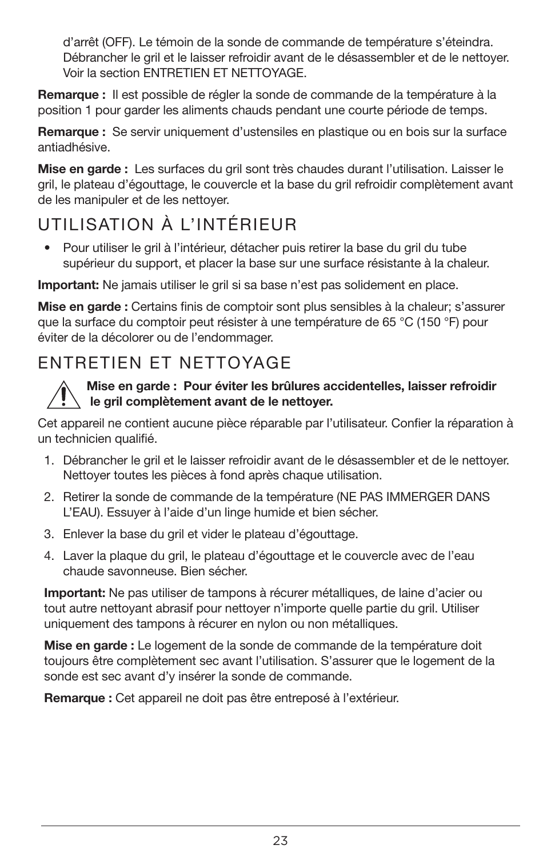d'arrêt (OFF). Le témoin de la sonde de commande de température s'éteindra. Débrancher le gril et le laisser refroidir avant de le désassembler et de le nettoyer. Voir la section ENTRETIEN ET NETTOYAGE.

Remarque : Il est possible de régler la sonde de commande de la température à la position 1 pour garder les aliments chauds pendant une courte période de temps.

Remarque : Se servir uniquement d'ustensiles en plastique ou en bois sur la surface antiadhésive.

Mise en garde : Les surfaces du gril sont très chaudes durant l'utilisation. Laisser le gril, le plateau d'égouttage, le couvercle et la base du gril refroidir complètement avant de les manipuler et de les nettoyer.

# UTILISATION À L'INTÉRIEUR

• Pour utiliser le gril à l'intérieur, détacher puis retirer la base du gril du tube supérieur du support, et placer la base sur une surface résistante à la chaleur.

Important: Ne jamais utiliser le gril si sa base n'est pas solidement en place.

Mise en garde : Certains finis de comptoir sont plus sensibles à la chaleur; s'assurer que la surface du comptoir peut résister à une température de 65 °C (150 °F) pour éviter de la décolorer ou de l'endommager.

# ENTRETIEN ET NETTOYAGE



#### Mise en garde : Pour éviter les brûlures accidentelles, laisser refroidir le gril complètement avant de le nettoyer.

Cet appareil ne contient aucune pièce réparable par l'utilisateur. Confier la réparation à un technicien qualifié.

- 1. Débrancher le gril et le laisser refroidir avant de le désassembler et de le nettoyer. Nettoyer toutes les pièces à fond après chaque utilisation.
- 2. Retirer la sonde de commande de la température (NE PAS IMMERGER DANS L'EAU). Essuyer à l'aide d'un linge humide et bien sécher.
- 3. Enlever la base du gril et vider le plateau d'égouttage.
- 4. Laver la plaque du gril, le plateau d'égouttage et le couvercle avec de l'eau chaude savonneuse. Bien sécher.

Important: Ne pas utiliser de tampons à récurer métalliques, de laine d'acier ou tout autre nettoyant abrasif pour nettoyer n'importe quelle partie du gril. Utiliser uniquement des tampons à récurer en nylon ou non métalliques.

Mise en garde : Le logement de la sonde de commande de la température doit toujours être complètement sec avant l'utilisation. S'assurer que le logement de la sonde est sec avant d'y insérer la sonde de commande.

Remarque : Cet appareil ne doit pas être entreposé à l'extérieur.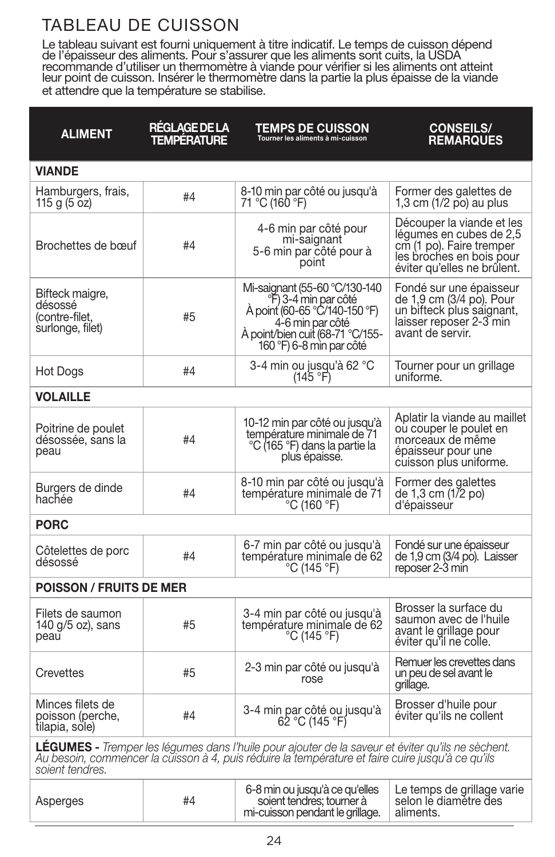# TABLEAU DE CUISSON

Le tableau suivant est fourni uniquement à titre indicatif. Le temps de cuisson dépend de l'épaisseur des aliments. Pour s'assurer que les aliments sont cuits, la USDA recommande d'utiliser un thermomètre à viande pour vérifier si les aliments ont atteint leur point de cuisson. Insérer le thermomètre dans la partie la plus épaisse de la viande et attendre que la température se stabilise.

| <b>ALIMENT</b>                                                                                                                                                                                                                   | RÉGLAGE DE LA<br>TEMPÉRATURE | <b>TEMPS DE CUISSON</b><br>Tourner les aliments à mi-cuisson                                                                                                                           | <b>CONSEILS/</b><br><b>REMARQUES</b>                                                                                                        |  |  |
|----------------------------------------------------------------------------------------------------------------------------------------------------------------------------------------------------------------------------------|------------------------------|----------------------------------------------------------------------------------------------------------------------------------------------------------------------------------------|---------------------------------------------------------------------------------------------------------------------------------------------|--|--|
| <b>VIANDE</b>                                                                                                                                                                                                                    |                              |                                                                                                                                                                                        |                                                                                                                                             |  |  |
| Hamburgers, frais,<br>115 g (5 oz)                                                                                                                                                                                               | #4                           | 8-10 min par côté ou jusqu'à<br>71 °C (160 °F)                                                                                                                                         | Former des galettes de<br>1,3 cm (1/2 po) au plus                                                                                           |  |  |
| Brochettes de bœuf                                                                                                                                                                                                               | #4                           | 4-6 min par côté pour<br>mi-saignant<br>5-6 min par côté pour à<br>point                                                                                                               | Découper la viande et les<br>légumes en cubes de 2,5<br>cm (1 po). Faire tremper<br>les broches en bois pour<br>éviter qu'elles ne brûlent. |  |  |
| Bifteck maigre,<br>désossé<br>(contre-filet,<br>surlonge, filet)                                                                                                                                                                 | #5                           | Mi-saignant (55-60 °C/130-140<br><sup>9</sup> F) 3-4 min par côté<br>A point (60-65 °C/140-150 °F)<br>4-6 min par côté<br>À point/bien cuit (68-71 °C/155-<br>160 °F) 6-8 min par côté | Fondé sur une épaisseur<br>de 1,9 cm (3/4 po). Pour<br>un bifteck plus saignant,<br>laisser reposer 2-3 min<br>avant de servir.             |  |  |
| Hot Dogs                                                                                                                                                                                                                         | #4                           | 3-4 min ou jusqu'à 62 °C<br>(145 °F)                                                                                                                                                   | Tourner pour un grillage<br>uniforme.                                                                                                       |  |  |
| <b>VOLAILLE</b>                                                                                                                                                                                                                  |                              |                                                                                                                                                                                        |                                                                                                                                             |  |  |
| Poitrine de poulet<br>désossée, sans la<br>peau                                                                                                                                                                                  | #4                           | 10-12 min par côté ou jusqu'à<br>température minimale de 71<br>°C (165 °F) dans la partie la<br>plus épaisse.                                                                          | Aplatir la viande au maillet<br>ou couper le poulet en<br>morceaux de même<br>épaisseur pour une<br>cuisson plus uniforme.                  |  |  |
| Burgers de dinde<br>hachée                                                                                                                                                                                                       | #4                           | 8-10 min par côté ou jusqu'à<br>température minimale de 71<br>°C (160 °F)                                                                                                              | Former des galettes<br>de 1,3 cm (1/2 po)<br>d'épaisseur                                                                                    |  |  |
| <b>PORC</b>                                                                                                                                                                                                                      |                              |                                                                                                                                                                                        |                                                                                                                                             |  |  |
| Côtelettes de porc<br>désossé                                                                                                                                                                                                    | #4                           | 6-7 min par côté ou jusqu'à<br>température minimale de 62<br>°C (145 °F)                                                                                                               | Fondé sur une épaisseur<br>de 1,9 cm (3/4 po). Laisser<br>reposer 2-3 min                                                                   |  |  |
| <b>POISSON / FRUITS DE MER</b>                                                                                                                                                                                                   |                              |                                                                                                                                                                                        |                                                                                                                                             |  |  |
| Filets de saumon<br>140 g/5 oz), sans<br>peau                                                                                                                                                                                    | #5                           | 3-4 min par côté ou jusqu'à<br>température minimale de 62<br>°C (145 °F)                                                                                                               | Brosser la surface du<br>saumon avec de l'huile<br>avant le grillage pour<br>éviter qu'il ne colle.                                         |  |  |
| Crevettes                                                                                                                                                                                                                        | #5                           | 2-3 min par côté ou jusqu'à<br>rose                                                                                                                                                    | Remuer les crevettes dans<br>un peu de sel avant le<br>grillage.                                                                            |  |  |
| Minces filets de<br>poisson (perche,<br>tilapia, sole)                                                                                                                                                                           | #4                           | 3-4 min par côté ou jusqu'à<br>62 °C (145 °F)                                                                                                                                          | Brosser d'huile pour<br>éviter qu'ils ne collent                                                                                            |  |  |
| <b>LEGUMES</b> - Tremper les légumes dans l'huile pour ajouter de la saveur et éviter qu'ils ne sèchent.<br>Au besoin, commencer la cuisson à 4, puis réduire la température et faire cuire jusqu'à ce qu'ils<br>soient tendres. |                              |                                                                                                                                                                                        |                                                                                                                                             |  |  |
| Asperges                                                                                                                                                                                                                         | #4                           | 6-8 min ou jusqu'à ce qu'elles<br>soient tendres; tourner à<br>mi-cuisson pendant le grillage.                                                                                         | Le temps de grillage varie<br>selon le diamètre des<br>aliments.                                                                            |  |  |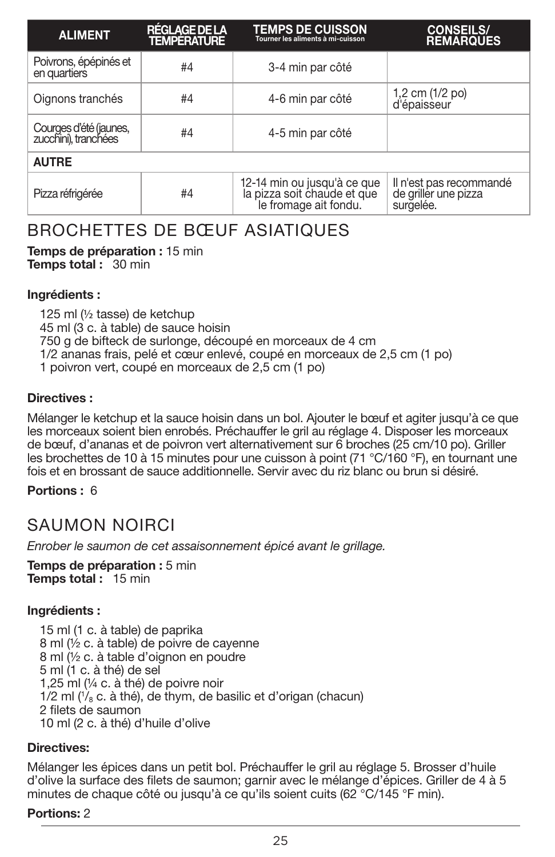| <b>ALIMENT</b>                                 | <b>RÉGLAGE DE LA</b><br><b>TEMPÉRATURE</b> | <b>TEMPS DE CUISSON</b><br>Tourner les aliments à mi-cuisson                        | <b>CONSEILS/</b><br><b>REMARQUES</b>                         |  |
|------------------------------------------------|--------------------------------------------|-------------------------------------------------------------------------------------|--------------------------------------------------------------|--|
| Poivrons, épépinés et<br>en quartiers          | #4                                         | 3-4 min par côté                                                                    |                                                              |  |
| Oignons tranchés                               | #4                                         | 4-6 min par côté                                                                    | 1,2 cm (1/2 po)<br>d'épaisseur                               |  |
| Courges d'été (jaunes,<br>zucchini), tranchées | #4                                         | 4-5 min par côté                                                                    |                                                              |  |
| <b>AUTRE</b>                                   |                                            |                                                                                     |                                                              |  |
| Pizza réfrigérée                               | #4                                         | 12-14 min ou jusqu'à ce que<br>la pizza soit chaude et que<br>le fromage ait fondu. | Il n'est pas recommandé<br>de griller une pizza<br>surgelée. |  |

# BROCHETTES DE BŒUF ASIATIQUES

Temps de préparation : 15 min Temps total : 30 min

#### Ingrédients :

125 ml (½ tasse) de ketchup 45 ml (3 c. à table) de sauce hoisin 750 g de bifteck de surlonge, découpé en morceaux de 4 cm 1/2 ananas frais, pelé et cœur enlevé, coupé en morceaux de 2,5 cm (1 po) 1 poivron vert, coupé en morceaux de 2,5 cm (1 po)

#### Directives :

Mélanger le ketchup et la sauce hoisin dans un bol. Ajouter le bœuf et agiter jusqu'à ce que les morceaux soient bien enrobés. Préchauffer le gril au réglage 4. Disposer les morceaux de bœuf, d'ananas et de poivron vert alternativement sur 6 broches (25 cm/10 po). Griller les brochettes de 10 à 15 minutes pour une cuisson à point (71 °C/160 °F), en tournant une fois et en brossant de sauce additionnelle. Servir avec du riz blanc ou brun si désiré.

#### Portions : 6

# SAUMON NOIRCI

*Enrober le saumon de cet assaisonnement épicé avant le grillage.*

Temps de préparation : 5 min Temps total: 15 min

#### Ingrédients :

15 ml (1 c. à table) de paprika 8 ml (½ c. à table) de poivre de cayenne 8 ml (½ c. à table d'oignon en poudre 5 ml (1 c. à thé) de sel 1,25 ml (¼ c. à thé) de poivre noir 1/2 ml (1 /8 c. à thé), de thym, de basilic et d'origan (chacun) 2 filets de saumon 10 ml (2 c. à thé) d'huile d'olive

#### Directives:

Mélanger les épices dans un petit bol. Préchauffer le gril au réglage 5. Brosser d'huile d'olive la surface des filets de saumon; garnir avec le mélange d'épices. Griller de 4 à 5 minutes de chaque côté ou jusqu'à ce qu'ils soient cuits (62 °C/145 °F min).

#### Portions: 2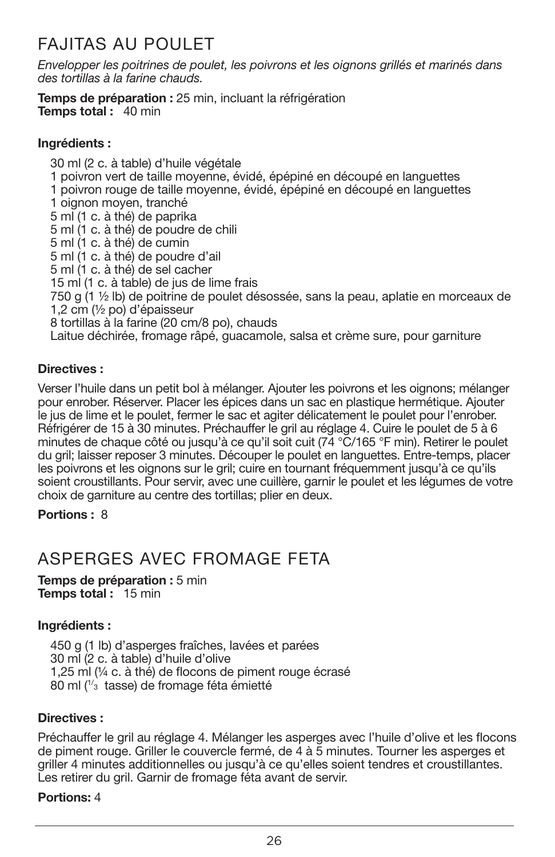# FAJITAS AU POULET

*Envelopper les poitrines de poulet, les poivrons et les oignons grillés et marinés dans des tortillas à la farine chauds.*

Temps de préparation : 25 min. incluant la réfrigération **Temps total: 40 min** 

#### Ingrédients :

30 ml (2 c. à table) d'huile végétale 1 poivron vert de taille moyenne, évidé, épépiné en découpé en languettes 1 poivron rouge de taille moyenne, évidé, épépiné en découpé en languettes 1 oignon moyen, tranché 5 ml (1 c. à thé) de paprika 5 ml (1 c. à thé) de poudre de chili 5 ml (1 c. à thé) de cumin 5 ml (1 c. à thé) de poudre d'ail 5 ml (1 c. à thé) de sel cacher 15 ml (1 c. à table) de jus de lime frais 750 g (1 ½ lb) de poitrine de poulet désossée, sans la peau, aplatie en morceaux de 1,2 cm (½ po) d'épaisseur 8 tortillas à la farine (20 cm/8 po), chauds Laitue déchirée, fromage râpé, guacamole, salsa et crème sure, pour garniture

#### Directives :

Verser l'huile dans un petit bol à mélanger. Ajouter les poivrons et les oignons; mélanger pour enrober. Réserver. Placer les épices dans un sac en plastique hermétique. Ajouter le jus de lime et le poulet, fermer le sac et agiter délicatement le poulet pour l'enrober. Réfrigérer de 15 à 30 minutes. Préchauffer le gril au réglage 4. Cuire le poulet de 5 à 6 minutes de chaque côté ou jusqu'à ce qu'il soit cuit ( $74\text{ °C}/165\text{ °F}$  min). Retirer le poulet du gril; laisser reposer 3 minutes. Découper le poulet en languettes. Entre-temps, placer les poivrons et les oignons sur le gril; cuire en tournant fréquemment jusqu'à ce qu'ils soient croustillants. Pour servir, avec une cuillère, garnir le poulet et les légumes de votre choix de garniture au centre des tortillas; plier en deux.

Portions : 8

# ASPERGES AVEC FROMAGE FETA

Temps de préparation : 5 min Temps total: 15 min

#### Ingrédients :

450 g (1 lb) d'asperges fraîches, lavées et parées 30 ml (2 c. à table) d'huile d'olive 1,25 ml (¼ c. à thé) de flocons de piment rouge écrasé 80 ml (<sup>1/</sup><sub>3</sub> tasse) de fromage féta émietté

#### Directives :

Préchauffer le gril au réglage 4. Mélanger les asperges avec l'huile d'olive et les flocons de piment rouge. Griller le couvercle fermé, de 4 à 5 minutes. Tourner les asperges et griller 4 minutes additionnelles ou jusqu'à ce qu'elles soient tendres et croustillantes. Les retirer du gril. Garnir de fromage féta avant de servir.

#### Portions: 4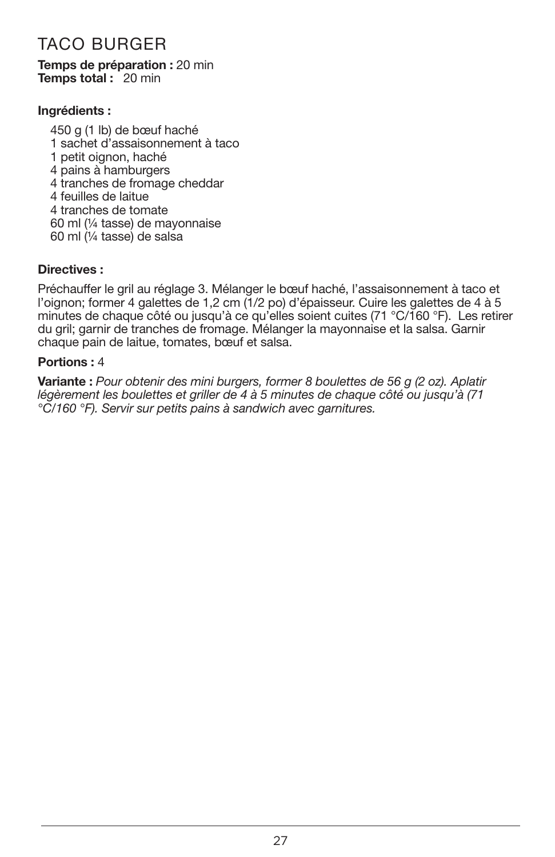# TACO BURGER

#### Temps de préparation : 20 min Temps total: 20 min

#### Ingrédients :

450 g (1 lb) de bœuf haché 1 sachet d'assaisonnement à taco 1 petit oignon, haché 4 pains à hamburgers 4 tranches de fromage cheddar 4 feuilles de laitue 4 tranches de tomate 60 ml (¼ tasse) de mayonnaise 60 ml (¼ tasse) de salsa

#### Directives :

Préchauffer le gril au réglage 3. Mélanger le bœuf haché, l'assaisonnement à taco et l'oignon; former 4 galettes de 1,2 cm (1/2 po) d'épaisseur. Cuire les galettes de 4 à 5 minutes de chaque côté ou jusqu'à ce qu'elles soient cuites (71 °C/160 °F). Les retirer du gril; garnir de tranches de fromage. Mélanger la mayonnaise et la salsa. Garnir chaque pain de laitue, tomates, bœuf et salsa.

#### Portions : 4

Variante : *Pour obtenir des mini burgers, former 8 boulettes de 56 g (2 oz). Aplatir légèrement les boulettes et griller de 4 à 5 minutes de chaque côté ou jusqu'à (71 °C/160 °F). Servir sur petits pains à sandwich avec garnitures.*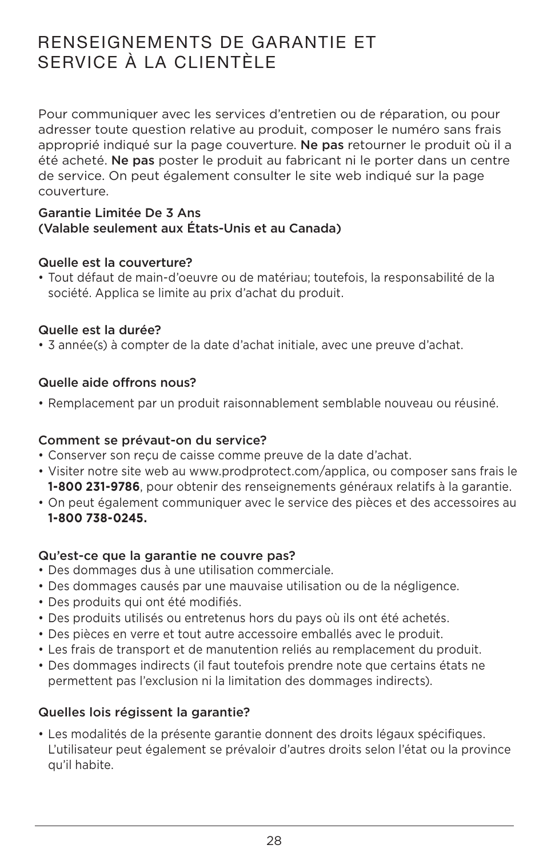# RENSEIGNEMENTS DE GARANTIE ET SERVICE À LA CLIENTÈLE

Pour communiquer avec les services d'entretien ou de réparation, ou pour adresser toute question relative au produit, composer le numéro sans frais approprié indiqué sur la page couverture. Ne pas retourner le produit où il a été acheté. Ne pas poster le produit au fabricant ni le porter dans un centre de service. On peut également consulter le site web indiqué sur la page couverture.

#### Garantie Limitée De 3 Ans (Valable seulement aux États-Unis et au Canada)

#### Quelle est la couverture?

• Tout défaut de main-d'oeuvre ou de matériau; toutefois, la responsabilité de la société. Applica se limite au prix d'achat du produit.

#### Quelle est la durée?

• 3 année(s) à compter de la date d'achat initiale, avec une preuve d'achat.

#### Quelle aide offrons nous?

• Remplacement par un produit raisonnablement semblable nouveau ou réusiné.

#### Comment se prévaut-on du service?

- • Conserver son reçu de caisse comme preuve de la date d'achat.
- • Visiter notre site web au www.prodprotect.com/applica, ou composer sans frais le **1-800 231-9786**, pour obtenir des renseignements généraux relatifs à la garantie.
- • On peut également communiquer avec le service des pièces et des accessoires au **1-800 738-0245.**

#### Qu'est-ce que la garantie ne couvre pas?

- Des dommages dus à une utilisation commerciale.
- • Des dommages causés par une mauvaise utilisation ou de la négligence.
- · Des produits qui ont été modifiés.
- Des produits utilisés ou entretenus hors du pays où ils ont été achetés.
- • Des pièces en verre et tout autre accessoire emballés avec le produit.
- • Les frais de transport et de manutention reliés au remplacement du produit.
- • Des dommages indirects (il faut toutefois prendre note que certains états ne permettent pas l'exclusion ni la limitation des dommages indirects).

#### Quelles lois régissent la garantie?

• Les modalités de la présente garantie donnent des droits légaux spécifiques. L'utilisateur peut également se prévaloir d'autres droits selon l'état ou la province qu'il habite.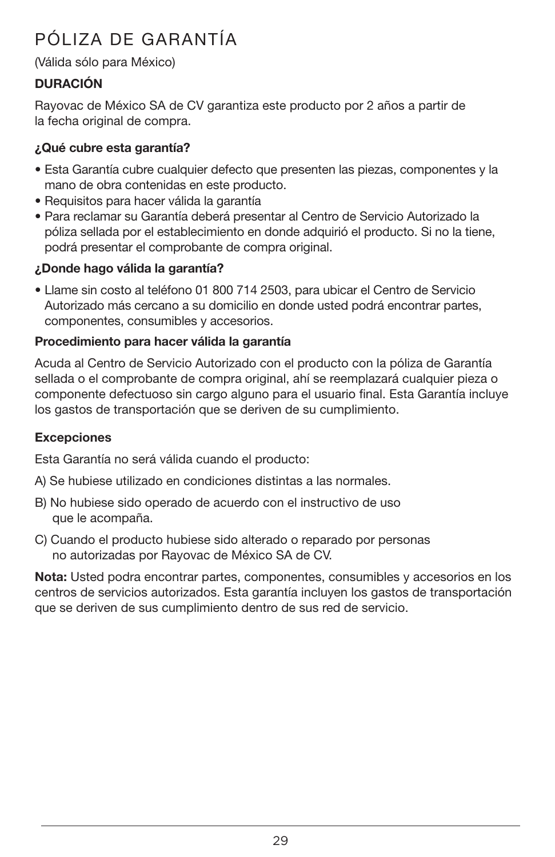# PÓLIZA DE GARANTÍA

#### (Válida sólo para México)

#### DURACIÓN

Rayovac de México SA de CV garantiza este producto por 2 años a partir de la fecha original de compra.

#### ¿Qué cubre esta garantía?

- Esta Garantía cubre cualquier defecto que presenten las piezas, componentes y la mano de obra contenidas en este producto.
- Requisitos para hacer válida la garantía
- Para reclamar su Garantía deberá presentar al Centro de Servicio Autorizado la póliza sellada por el establecimiento en donde adquirió el producto. Si no la tiene, podrá presentar el comprobante de compra original.

#### ¿Donde hago válida la garantía?

• Llame sin costo al teléfono 01 800 714 2503, para ubicar el Centro de Servicio Autorizado más cercano a su domicilio en donde usted podrá encontrar partes, componentes, consumibles y accesorios.

#### Procedimiento para hacer válida la garantía

Acuda al Centro de Servicio Autorizado con el producto con la póliza de Garantía sellada o el comprobante de compra original, ahí se reemplazará cualquier pieza o componente defectuoso sin cargo alguno para el usuario final. Esta Garantía incluye los gastos de transportación que se deriven de su cumplimiento.

#### Excepciones

Esta Garantía no será válida cuando el producto:

- A) Se hubiese utilizado en condiciones distintas a las normales.
- B) No hubiese sido operado de acuerdo con el instructivo de uso que le acompaña.
- C) Cuando el producto hubiese sido alterado o reparado por personas no autorizadas por Rayovac de México SA de CV.

Nota: Usted podra encontrar partes, componentes, consumibles y accesorios en los centros de servicios autorizados. Esta garantía incluyen los gastos de transportación que se deriven de sus cumplimiento dentro de sus red de servicio.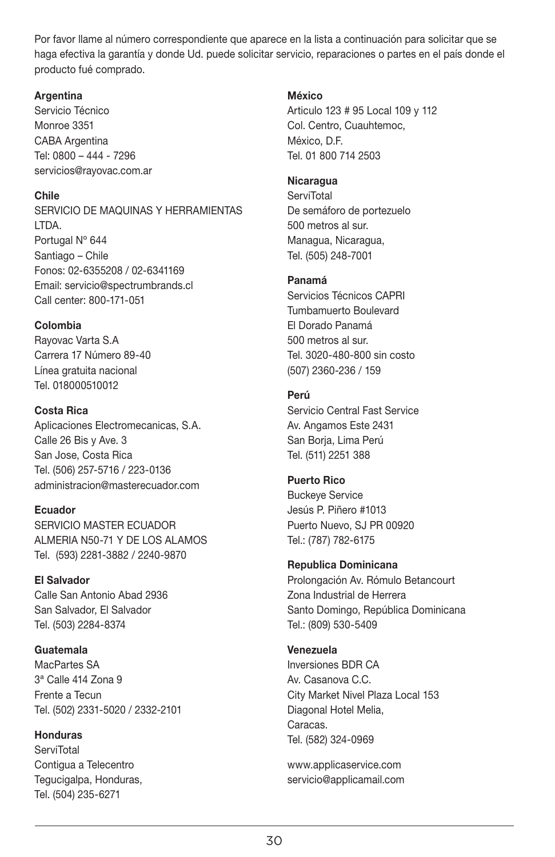Por favor llame al número correspondiente que aparece en la lista a continuación para solicitar que se haga efectiva la garantía y donde Ud. puede solicitar servicio, reparaciones o partes en el país donde el producto fué comprado.

#### **Argentina**

Servicio Técnico Monroe 3351 CABA Argentina Tel: 0800 – 444 - 7296 servicios@rayovac.com.ar

#### Chile

SERVICIO DE MAQUINAS Y HERRAMIENTAS LTDA. Portugal Nº 644 Santiago – Chile Fonos: 02-6355208 / 02-6341169 Email: servicio@spectrumbrands.cl Call center: 800-171-051

#### Colombia

Rayovac Varta S.A Carrera 17 Número 89-40 Línea gratuita nacional Tel. 018000510012

#### Costa Rica

Aplicaciones Electromecanicas, S.A. Calle 26 Bis y Ave. 3 San Jose, Costa Rica Tel. (506) 257-5716 / 223-0136 administracion@masterecuador.com

#### Ecuador

SERVICIO MASTER ECUADOR ALMERIA N50-71 Y DE LOS ALAMOS Tel. (593) 2281-3882 / 2240-9870

#### El Salvador

Calle San Antonio Abad 2936 San Salvador, El Salvador Tel. (503) 2284-8374

#### Guatemala

MacPartes SA 3ª Calle 414 Zona 9 Frente a Tecun Tel. (502) 2331-5020 / 2332-2101

#### Honduras

**ServiTotal** Contigua a Telecentro Tegucigalpa, Honduras, Tel. (504) 235-6271

#### México

Articulo 123 # 95 Local 109 y 112 Col. Centro, Cuauhtemoc, México, D.F. Tel. 01 800 714 2503

#### Nicaragua

**ServiTotal** De semáforo de portezuelo 500 metros al sur. Managua, Nicaragua, Tel. (505) 248-7001

#### Panamá

Servicios Técnicos CAPRI Tumbamuerto Boulevard El Dorado Panamá 500 metros al sur. Tel. 3020-480-800 sin costo (507) 2360-236 / 159

#### Perú

Servicio Central Fast Service Av. Angamos Este 2431 San Boria, Lima Perú Tel. (511) 2251 388

#### Puerto Rico

Buckeye Service Jesús P. Piñero #1013 Puerto Nuevo, SJ PR 00920 Tel.: (787) 782-6175

#### Republica Dominicana

Prolongación Av. Rómulo Betancourt Zona Industrial de Herrera Santo Domingo, República Dominicana Tel.: (809) 530-5409

#### Venezuela

Inversiones BDR CA Av. Casanova C.C. City Market Nivel Plaza Local 153 Diagonal Hotel Melia, Caracas. Tel. (582) 324-0969

www.applicaservice.com servicio@applicamail.com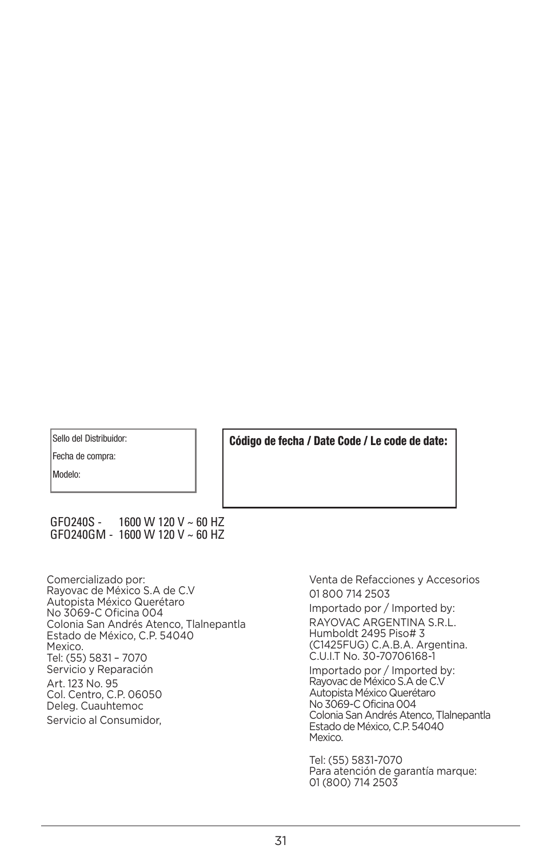Sello del Distribuidor:

Fecha de compra:

Modelo:

Código de fecha / Date Code / Le code de date:

#### GFO240S - 1600 W 120 V ~ 60 HZ GFO240GM - 1600 W 120 V ~ 60 HZ

Comercializado por: Rayovac de México S.A de C.V Autopista México Querétaro No 3069-C Oficina 004 Colonia San Andrés Atenco, Tlalnepantla Estado de México, C.P. 54040 Mexico. Tel: (55) 5831 – 7070 Servicio y Reparación Art. 123 No. 95 Col. Centro, C.P. 06050 Deleg. Cuauhtemoc Servicio al Consumidor,

Venta de Refacciones y Accesorios 01 800 714 2503

Importado por / Imported by: RAYOVAC ARGENTINA S.R.L. Humboldt 2495 Piso# 3 (C1425FUG) C.A.B.A. Argentina. C.U.I.T No. 30-70706168-1

Importado por / Imported by: Rayovac de México S.A de C.V Autopista México Querétaro No3069-C Oficina 004 Colonia San Andrés Atenco, Tlalnepantla Estadode México, C.P. 54040 Mexico.

Tel: (55) 5831-7070 Para atención de garantía marque: 01 (800) 714 2503